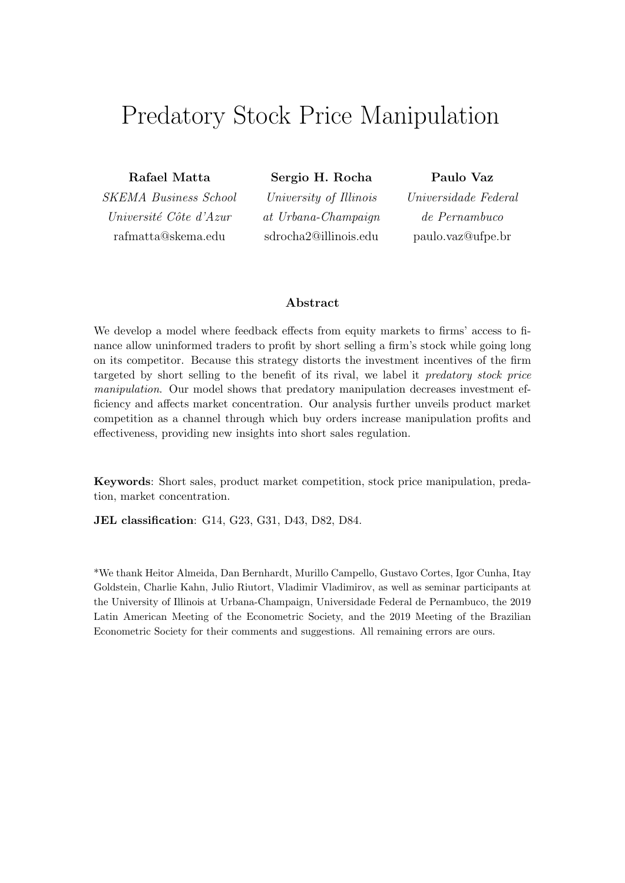# <span id="page-0-0"></span>Predatory Stock Price Manipulation

Rafael Matta Sergio H. Rocha Paulo Vaz

Université Côte d'Azur at Urbana-Champaign de Pernambuco rafmatta@skema.edu sdrocha2@illinois.edu paulo.vaz@ufpe.br

SKEMA Business School University of Illinois Universidade Federal

#### Abstract

We develop a model where feedback effects from equity markets to firms' access to finance allow uninformed traders to profit by short selling a firm's stock while going long on its competitor. Because this strategy distorts the investment incentives of the firm targeted by short selling to the benefit of its rival, we label it predatory stock price manipulation. Our model shows that predatory manipulation decreases investment efficiency and affects market concentration. Our analysis further unveils product market competition as a channel through which buy orders increase manipulation profits and effectiveness, providing new insights into short sales regulation.

Keywords: Short sales, product market competition, stock price manipulation, predation, market concentration.

JEL classification: G14, G23, G31, D43, D82, D84.

\*We thank Heitor Almeida, Dan Bernhardt, Murillo Campello, Gustavo Cortes, Igor Cunha, Itay Goldstein, Charlie Kahn, Julio Riutort, Vladimir Vladimirov, as well as seminar participants at the University of Illinois at Urbana-Champaign, Universidade Federal de Pernambuco, the 2019 Latin American Meeting of the Econometric Society, and the 2019 Meeting of the Brazilian Econometric Society for their comments and suggestions. All remaining errors are ours.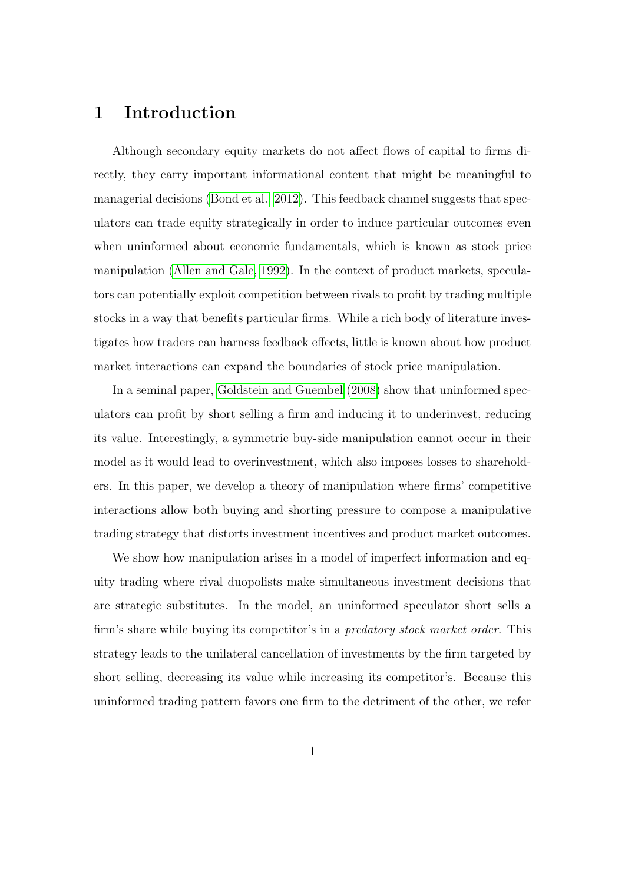# 1 Introduction

Although secondary equity markets do not affect flows of capital to firms directly, they carry important informational content that might be meaningful to managerial decisions [\(Bond et al., 2012\)](#page-32-0). This feedback channel suggests that speculators can trade equity strategically in order to induce particular outcomes even when uninformed about economic fundamentals, which is known as stock price manipulation [\(Allen and Gale, 1992\)](#page-32-1). In the context of product markets, speculators can potentially exploit competition between rivals to profit by trading multiple stocks in a way that benefits particular firms. While a rich body of literature investigates how traders can harness feedback effects, little is known about how product market interactions can expand the boundaries of stock price manipulation.

In a seminal paper, [Goldstein and Guembel](#page-34-0) [\(2008\)](#page-34-0) show that uninformed speculators can profit by short selling a firm and inducing it to underinvest, reducing its value. Interestingly, a symmetric buy-side manipulation cannot occur in their model as it would lead to overinvestment, which also imposes losses to shareholders. In this paper, we develop a theory of manipulation where firms' competitive interactions allow both buying and shorting pressure to compose a manipulative trading strategy that distorts investment incentives and product market outcomes.

We show how manipulation arises in a model of imperfect information and equity trading where rival duopolists make simultaneous investment decisions that are strategic substitutes. In the model, an uninformed speculator short sells a firm's share while buying its competitor's in a *predatory stock market order*. This strategy leads to the unilateral cancellation of investments by the firm targeted by short selling, decreasing its value while increasing its competitor's. Because this uninformed trading pattern favors one firm to the detriment of the other, we refer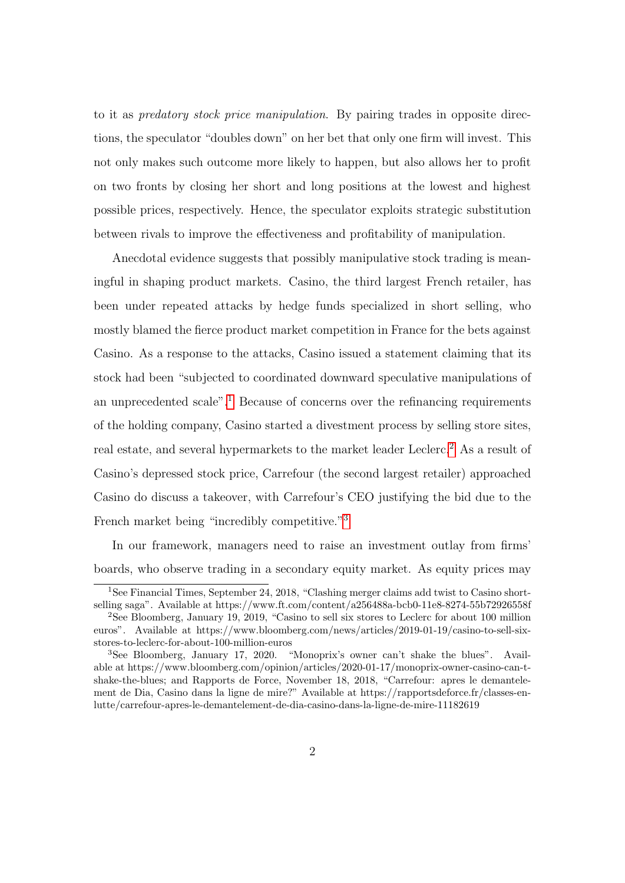to it as predatory stock price manipulation. By pairing trades in opposite directions, the speculator "doubles down" on her bet that only one firm will invest. This not only makes such outcome more likely to happen, but also allows her to profit on two fronts by closing her short and long positions at the lowest and highest possible prices, respectively. Hence, the speculator exploits strategic substitution between rivals to improve the effectiveness and profitability of manipulation.

Anecdotal evidence suggests that possibly manipulative stock trading is meaningful in shaping product markets. Casino, the third largest French retailer, has been under repeated attacks by hedge funds specialized in short selling, who mostly blamed the fierce product market competition in France for the bets against Casino. As a response to the attacks, Casino issued a statement claiming that its stock had been "subjected to coordinated downward speculative manipulations of an unprecedented scale".[1](#page-0-0) Because of concerns over the refinancing requirements of the holding company, Casino started a divestment process by selling store sites, real estate, and several hypermarkets to the market leader Leclerc.<sup>[2](#page-0-0)</sup> As a result of Casino's depressed stock price, Carrefour (the second largest retailer) approached Casino do discuss a takeover, with Carrefour's CEO justifying the bid due to the French market being "incredibly competitive."[3](#page-0-0)

In our framework, managers need to raise an investment outlay from firms' boards, who observe trading in a secondary equity market. As equity prices may

<sup>&</sup>lt;sup>1</sup>See Financial Times, September 24, 2018, "Clashing merger claims add twist to Casino shortselling saga". Available at https://www.ft.com/content/a256488a-bcb0-11e8-8274-55b72926558f

<sup>2</sup>See Bloomberg, January 19, 2019, "Casino to sell six stores to Leclerc for about 100 million euros". Available at https://www.bloomberg.com/news/articles/2019-01-19/casino-to-sell-sixstores-to-leclerc-for-about-100-million-euros

<sup>3</sup>See Bloomberg, January 17, 2020. "Monoprix's owner can't shake the blues". Available at https://www.bloomberg.com/opinion/articles/2020-01-17/monoprix-owner-casino-can-tshake-the-blues; and Rapports de Force, November 18, 2018, "Carrefour: apres le demantelement de Dia, Casino dans la ligne de mire?" Available at https://rapportsdeforce.fr/classes-enlutte/carrefour-apres-le-demantelement-de-dia-casino-dans-la-ligne-de-mire-11182619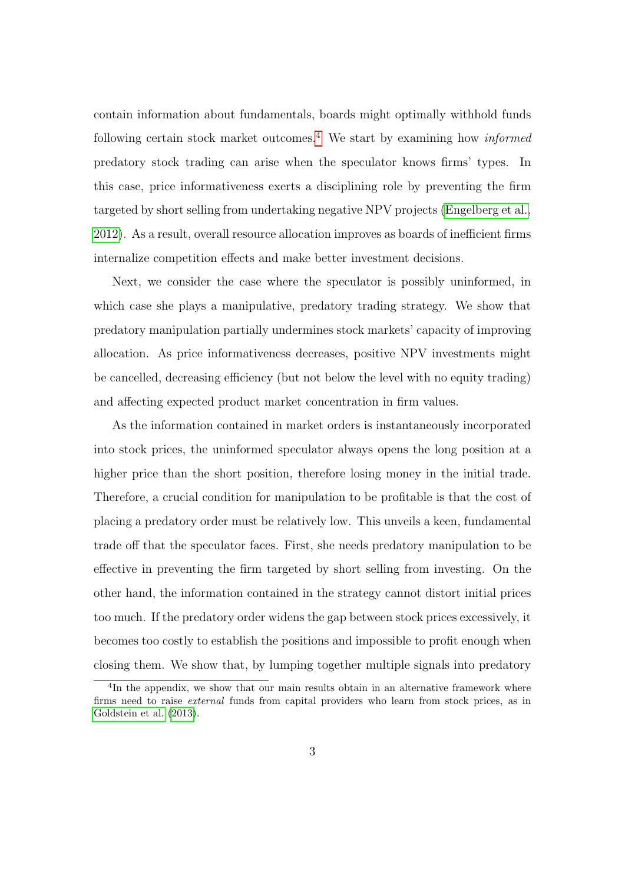contain information about fundamentals, boards might optimally withhold funds following certain stock market outcomes.<sup>[4](#page-0-0)</sup> We start by examining how *informed* predatory stock trading can arise when the speculator knows firms' types. In this case, price informativeness exerts a disciplining role by preventing the firm targeted by short selling from undertaking negative NPV projects [\(Engelberg et al.,](#page-33-0) [2012\)](#page-33-0). As a result, overall resource allocation improves as boards of inefficient firms internalize competition effects and make better investment decisions.

Next, we consider the case where the speculator is possibly uninformed, in which case she plays a manipulative, predatory trading strategy. We show that predatory manipulation partially undermines stock markets' capacity of improving allocation. As price informativeness decreases, positive NPV investments might be cancelled, decreasing efficiency (but not below the level with no equity trading) and affecting expected product market concentration in firm values.

As the information contained in market orders is instantaneously incorporated into stock prices, the uninformed speculator always opens the long position at a higher price than the short position, therefore losing money in the initial trade. Therefore, a crucial condition for manipulation to be profitable is that the cost of placing a predatory order must be relatively low. This unveils a keen, fundamental trade off that the speculator faces. First, she needs predatory manipulation to be effective in preventing the firm targeted by short selling from investing. On the other hand, the information contained in the strategy cannot distort initial prices too much. If the predatory order widens the gap between stock prices excessively, it becomes too costly to establish the positions and impossible to profit enough when closing them. We show that, by lumping together multiple signals into predatory

<sup>&</sup>lt;sup>4</sup>In the appendix, we show that our main results obtain in an alternative framework where firms need to raise *external* funds from capital providers who learn from stock prices, as in [Goldstein et al.](#page-34-1) [\(2013\)](#page-34-1).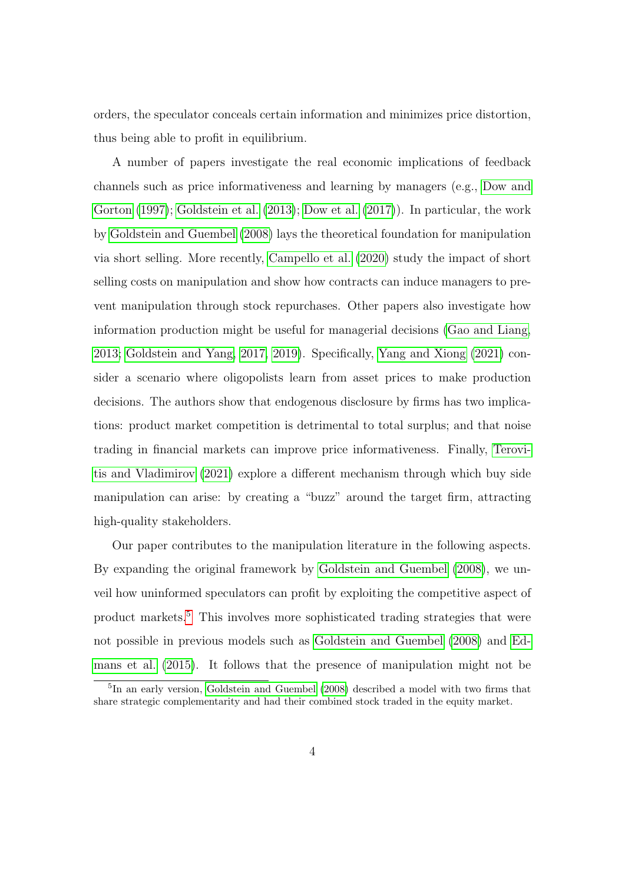orders, the speculator conceals certain information and minimizes price distortion, thus being able to profit in equilibrium.

A number of papers investigate the real economic implications of feedback channels such as price informativeness and learning by managers (e.g., [Dow and](#page-33-1) [Gorton](#page-33-1) [\(1997\)](#page-33-1); [Goldstein et al.](#page-34-1) [\(2013\)](#page-34-1); [Dow et al.](#page-33-2) [\(2017\)](#page-33-2)). In particular, the work by [Goldstein and Guembel](#page-34-0) [\(2008\)](#page-34-0) lays the theoretical foundation for manipulation via short selling. More recently, [Campello et al.](#page-33-3) [\(2020\)](#page-33-3) study the impact of short selling costs on manipulation and show how contracts can induce managers to prevent manipulation through stock repurchases. Other papers also investigate how information production might be useful for managerial decisions [\(Gao and Liang,](#page-34-2) [2013;](#page-34-2) [Goldstein and Yang, 2017,](#page-34-3) [2019\)](#page-34-4). Specifically, [Yang and Xiong](#page-35-0) [\(2021\)](#page-35-0) consider a scenario where oligopolists learn from asset prices to make production decisions. The authors show that endogenous disclosure by firms has two implications: product market competition is detrimental to total surplus; and that noise trading in financial markets can improve price informativeness. Finally, [Terovi](#page-35-1)[tis and Vladimirov](#page-35-1) [\(2021\)](#page-35-1) explore a different mechanism through which buy side manipulation can arise: by creating a "buzz" around the target firm, attracting high-quality stakeholders.

Our paper contributes to the manipulation literature in the following aspects. By expanding the original framework by [Goldstein and Guembel](#page-34-0) [\(2008\)](#page-34-0), we unveil how uninformed speculators can profit by exploiting the competitive aspect of product markets.[5](#page-0-0) This involves more sophisticated trading strategies that were not possible in previous models such as [Goldstein and Guembel](#page-34-0) [\(2008\)](#page-34-0) and [Ed](#page-33-4)[mans et al.](#page-33-4) [\(2015\)](#page-33-4). It follows that the presence of manipulation might not be

<sup>&</sup>lt;sup>5</sup>In an early version, [Goldstein and Guembel](#page-34-0) [\(2008\)](#page-34-0) described a model with two firms that share strategic complementarity and had their combined stock traded in the equity market.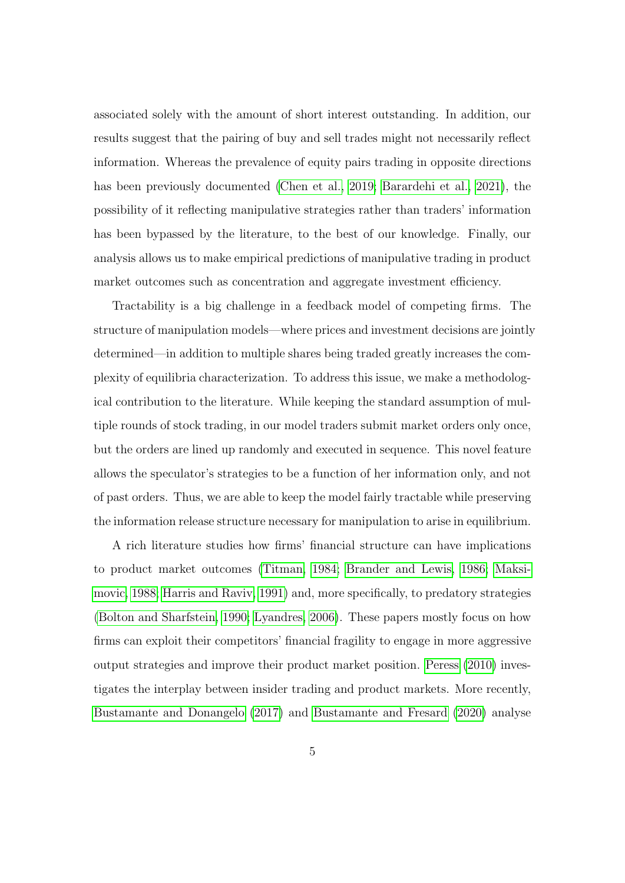associated solely with the amount of short interest outstanding. In addition, our results suggest that the pairing of buy and sell trades might not necessarily reflect information. Whereas the prevalence of equity pairs trading in opposite directions has been previously documented [\(Chen et al., 2019;](#page-33-5) [Barardehi et al., 2021\)](#page-32-2), the possibility of it reflecting manipulative strategies rather than traders' information has been bypassed by the literature, to the best of our knowledge. Finally, our analysis allows us to make empirical predictions of manipulative trading in product market outcomes such as concentration and aggregate investment efficiency.

Tractability is a big challenge in a feedback model of competing firms. The structure of manipulation models—where prices and investment decisions are jointly determined—in addition to multiple shares being traded greatly increases the complexity of equilibria characterization. To address this issue, we make a methodological contribution to the literature. While keeping the standard assumption of multiple rounds of stock trading, in our model traders submit market orders only once, but the orders are lined up randomly and executed in sequence. This novel feature allows the speculator's strategies to be a function of her information only, and not of past orders. Thus, we are able to keep the model fairly tractable while preserving the information release structure necessary for manipulation to arise in equilibrium.

A rich literature studies how firms' financial structure can have implications to product market outcomes [\(Titman, 1984;](#page-35-2) [Brander and Lewis, 1986;](#page-32-3) [Maksi](#page-35-3)[movic, 1988;](#page-35-3) [Harris and Raviv, 1991\)](#page-34-5) and, more specifically, to predatory strategies [\(Bolton and Sharfstein, 1990;](#page-32-4) [Lyandres, 2006\)](#page-35-4). These papers mostly focus on how firms can exploit their competitors' financial fragility to engage in more aggressive output strategies and improve their product market position. [Peress](#page-35-5) [\(2010\)](#page-35-5) investigates the interplay between insider trading and product markets. More recently, [Bustamante and Donangelo](#page-32-5) [\(2017\)](#page-32-5) and [Bustamante and Fresard](#page-32-6) [\(2020\)](#page-32-6) analyse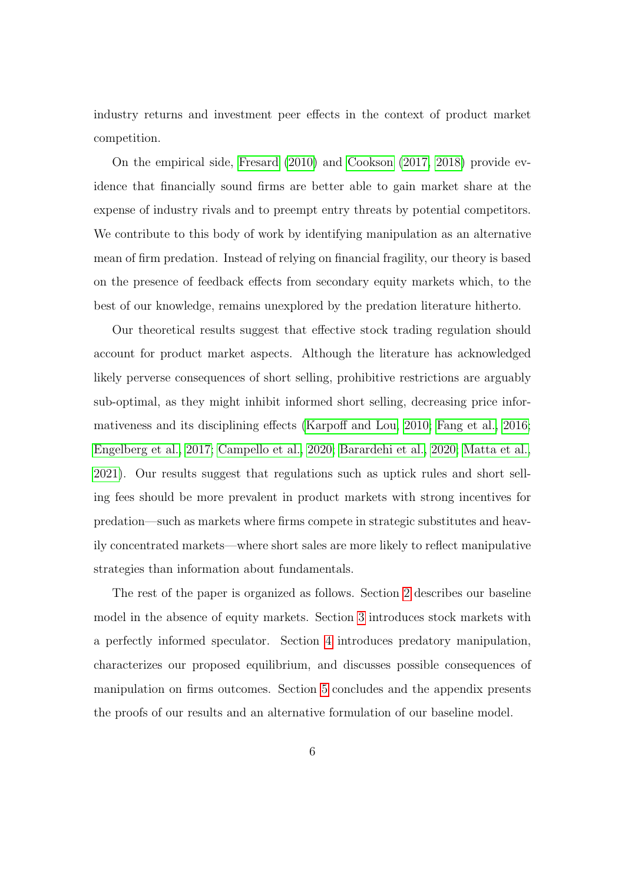industry returns and investment peer effects in the context of product market competition.

On the empirical side, [Fresard](#page-34-6) [\(2010\)](#page-34-6) and [Cookson](#page-33-6) [\(2017,](#page-33-6) [2018\)](#page-33-7) provide evidence that financially sound firms are better able to gain market share at the expense of industry rivals and to preempt entry threats by potential competitors. We contribute to this body of work by identifying manipulation as an alternative mean of firm predation. Instead of relying on financial fragility, our theory is based on the presence of feedback effects from secondary equity markets which, to the best of our knowledge, remains unexplored by the predation literature hitherto.

Our theoretical results suggest that effective stock trading regulation should account for product market aspects. Although the literature has acknowledged likely perverse consequences of short selling, prohibitive restrictions are arguably sub-optimal, as they might inhibit informed short selling, decreasing price informativeness and its disciplining effects [\(Karpoff and Lou, 2010;](#page-34-7) [Fang et al., 2016;](#page-34-8) [Engelberg et al., 2017;](#page-33-8) [Campello et al., 2020;](#page-33-3) [Barardehi et al., 2020;](#page-32-7) [Matta et al.,](#page-35-6) [2021\)](#page-35-6). Our results suggest that regulations such as uptick rules and short selling fees should be more prevalent in product markets with strong incentives for predation—such as markets where firms compete in strategic substitutes and heavily concentrated markets—where short sales are more likely to reflect manipulative strategies than information about fundamentals.

The rest of the paper is organized as follows. Section [2](#page-7-0) describes our baseline model in the absence of equity markets. Section [3](#page-10-0) introduces stock markets with a perfectly informed speculator. Section [4](#page-22-0) introduces predatory manipulation, characterizes our proposed equilibrium, and discusses possible consequences of manipulation on firms outcomes. Section [5](#page-31-0) concludes and the appendix presents the proofs of our results and an alternative formulation of our baseline model.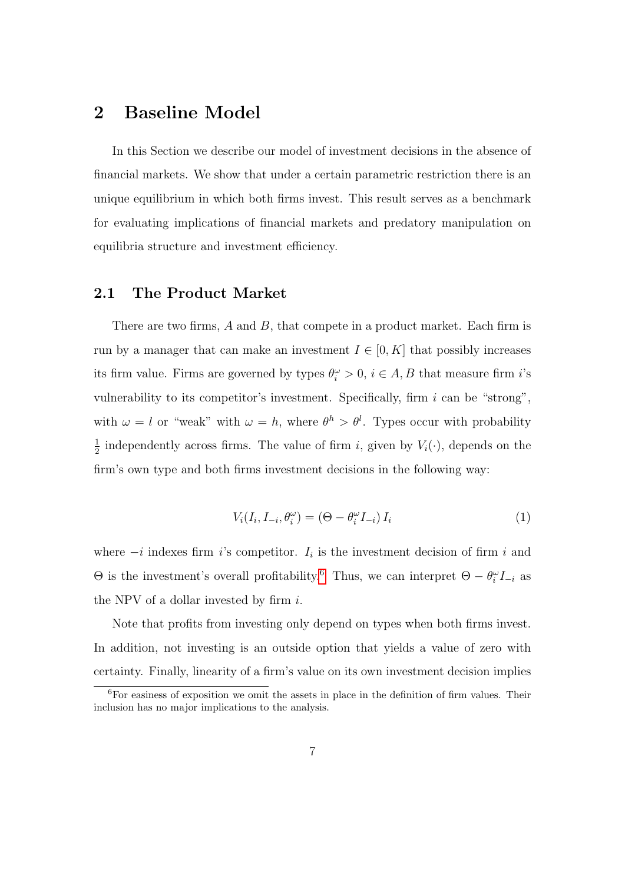# <span id="page-7-0"></span>2 Baseline Model

In this Section we describe our model of investment decisions in the absence of financial markets. We show that under a certain parametric restriction there is an unique equilibrium in which both firms invest. This result serves as a benchmark for evaluating implications of financial markets and predatory manipulation on equilibria structure and investment efficiency.

### <span id="page-7-1"></span>2.1 The Product Market

There are two firms,  $A$  and  $B$ , that compete in a product market. Each firm is run by a manager that can make an investment  $I \in [0, K]$  that possibly increases its firm value. Firms are governed by types  $\theta_i^{\omega} > 0$ ,  $i \in A, B$  that measure firm *i*'s vulnerability to its competitor's investment. Specifically, firm  $i$  can be "strong", with  $\omega = l$  or "weak" with  $\omega = h$ , where  $\theta^h > \theta^l$ . Types occur with probability 1  $\frac{1}{2}$  independently across firms. The value of firm *i*, given by  $V_i(\cdot)$ , depends on the firm's own type and both firms investment decisions in the following way:

<span id="page-7-2"></span>
$$
V_i(I_i, I_{-i}, \theta_i^{\omega}) = (\Theta - \theta_i^{\omega} I_{-i}) I_i
$$
\n(1)

where  $-i$  indexes firm i's competitor.  $I_i$  is the investment decision of firm i and  $Θ$  is the investment's overall profitability.<sup>[6](#page-0-0)</sup> Thus, we can interpret  $Θ - θ<sub>i</sub><sup>ω</sup> I<sub>-i</sub>$  as the NPV of a dollar invested by firm  $i$ .

Note that profits from investing only depend on types when both firms invest. In addition, not investing is an outside option that yields a value of zero with certainty. Finally, linearity of a firm's value on its own investment decision implies

 ${}^{6}$ For easiness of exposition we omit the assets in place in the definition of firm values. Their inclusion has no major implications to the analysis.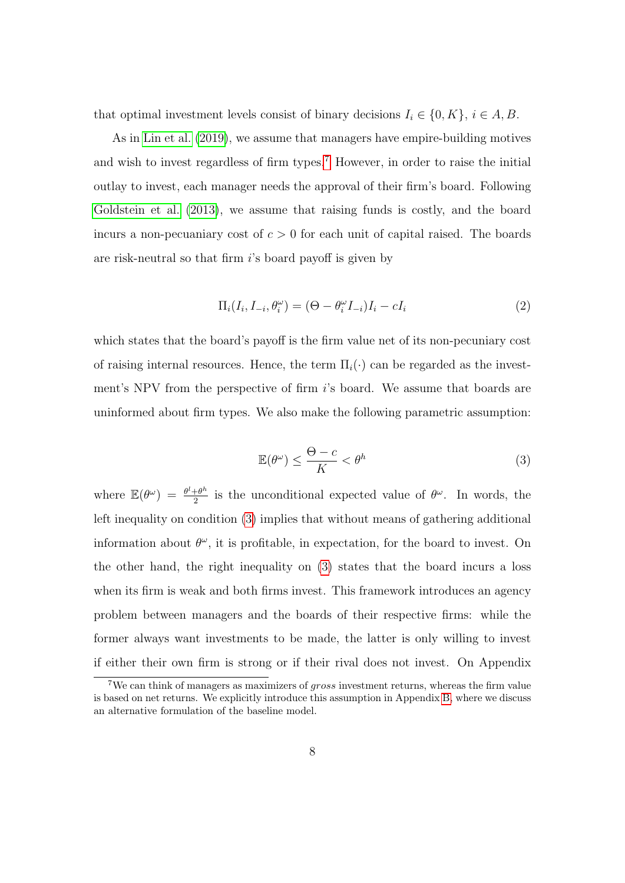that optimal investment levels consist of binary decisions  $I_i \in \{0, K\}, i \in A, B$ .

As in [Lin et al.](#page-35-7) [\(2019\)](#page-35-7), we assume that managers have empire-building motives and wish to invest regardless of firm types.<sup>[7](#page-0-0)</sup> However, in order to raise the initial outlay to invest, each manager needs the approval of their firm's board. Following [Goldstein et al.](#page-34-1) [\(2013\)](#page-34-1), we assume that raising funds is costly, and the board incurs a non-pecuaniary cost of  $c > 0$  for each unit of capital raised. The boards are risk-neutral so that firm i's board payoff is given by

<span id="page-8-1"></span>
$$
\Pi_i(I_i, I_{-i}, \theta_i^{\omega}) = (\Theta - \theta_i^{\omega} I_{-i})I_i - cI_i
$$
\n(2)

which states that the board's payoff is the firm value net of its non-pecuniary cost of raising internal resources. Hence, the term  $\Pi_i(\cdot)$  can be regarded as the investment's NPV from the perspective of firm i's board. We assume that boards are uninformed about firm types. We also make the following parametric assumption:

<span id="page-8-0"></span>
$$
\mathbb{E}(\theta^{\omega}) \le \frac{\Theta - c}{K} < \theta^h \tag{3}
$$

where  $\mathbb{E}(\theta^{\omega}) = \frac{\theta^{l} + \theta^{h}}{2}$  $\frac{1}{2}$  is the unconditional expected value of  $\theta^{\omega}$ . In words, the left inequality on condition [\(3\)](#page-8-0) implies that without means of gathering additional information about  $\theta^{\omega}$ , it is profitable, in expectation, for the board to invest. On the other hand, the right inequality on [\(3\)](#page-8-0) states that the board incurs a loss when its firm is weak and both firms invest. This framework introduces an agency problem between managers and the boards of their respective firms: while the former always want investments to be made, the latter is only willing to invest if either their own firm is strong or if their rival does not invest. On Appendix

<sup>7</sup>We can think of managers as maximizers of gross investment returns, whereas the firm value is based on net returns. We explicitly introduce this assumption in Appendix [B,](#page-48-0) where we discuss an alternative formulation of the baseline model.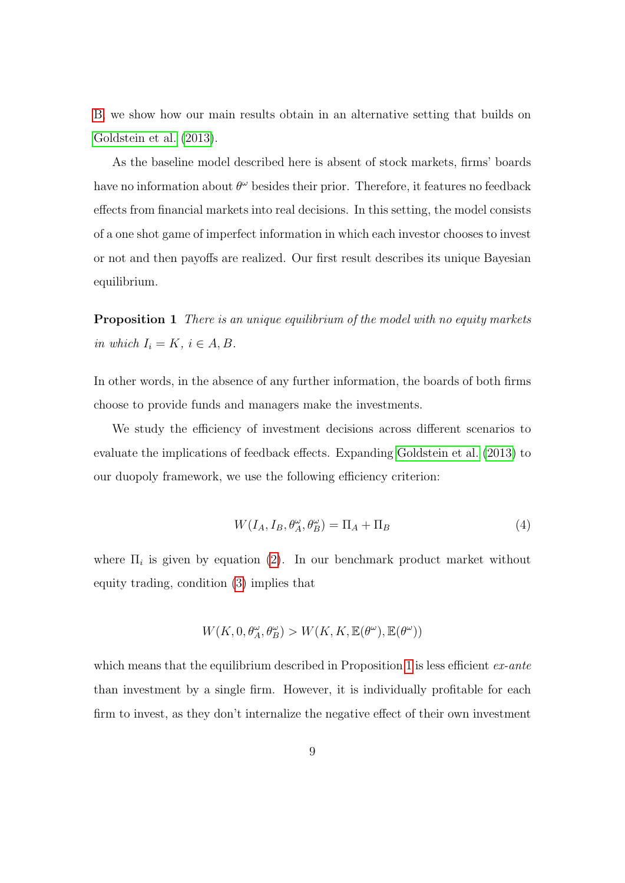[B,](#page-48-0) we show how our main results obtain in an alternative setting that builds on [Goldstein et al.](#page-34-1) [\(2013\)](#page-34-1).

As the baseline model described here is absent of stock markets, firms' boards have no information about  $\theta^{\omega}$  besides their prior. Therefore, it features no feedback effects from financial markets into real decisions. In this setting, the model consists of a one shot game of imperfect information in which each investor chooses to invest or not and then payoffs are realized. Our first result describes its unique Bayesian equilibrium.

<span id="page-9-0"></span>**Proposition 1** There is an unique equilibrium of the model with no equity markets in which  $I_i = K$ ,  $i \in A, B$ .

In other words, in the absence of any further information, the boards of both firms choose to provide funds and managers make the investments.

We study the efficiency of investment decisions across different scenarios to evaluate the implications of feedback effects. Expanding [Goldstein et al.](#page-34-1) [\(2013\)](#page-34-1) to our duopoly framework, we use the following efficiency criterion:

<span id="page-9-1"></span>
$$
W(I_A, I_B, \theta_A^{\omega}, \theta_B^{\omega}) = \Pi_A + \Pi_B \tag{4}
$$

where  $\Pi_i$  is given by equation [\(2\)](#page-8-1). In our benchmark product market without equity trading, condition [\(3\)](#page-8-0) implies that

$$
W(K, 0, \theta_A^{\omega}, \theta_B^{\omega}) > W(K, K, \mathbb{E}(\theta^{\omega}), \mathbb{E}(\theta^{\omega}))
$$

which means that the equilibrium described in Proposition [1](#page-9-0) is less efficient  $ex$ -ante than investment by a single firm. However, it is individually profitable for each firm to invest, as they don't internalize the negative effect of their own investment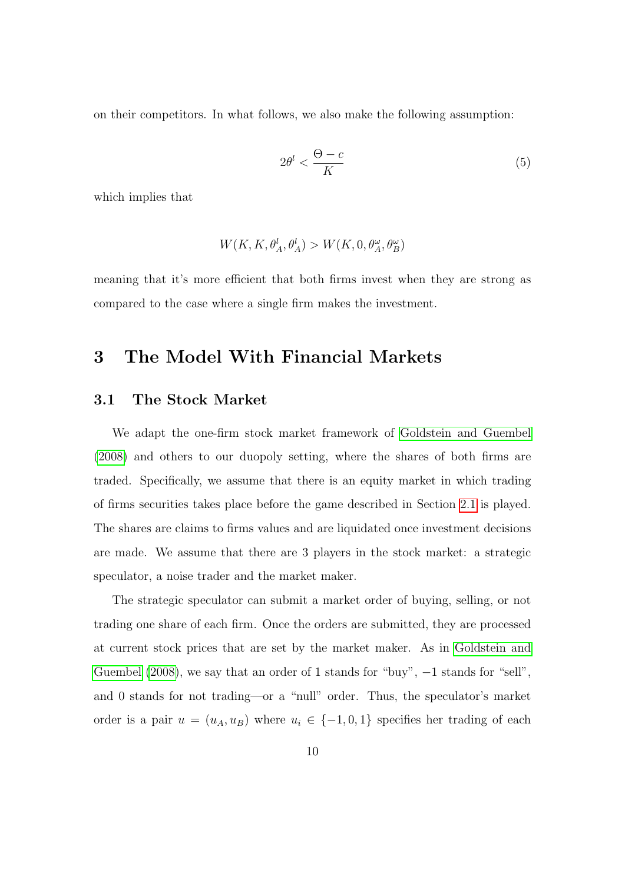on their competitors. In what follows, we also make the following assumption:

<span id="page-10-1"></span>
$$
2\theta^l < \frac{\Theta - c}{K} \tag{5}
$$

which implies that

$$
W(K, K, \theta_A^l, \theta_A^l) > W(K, 0, \theta_A^{\omega}, \theta_B^{\omega})
$$

meaning that it's more efficient that both firms invest when they are strong as compared to the case where a single firm makes the investment.

# <span id="page-10-0"></span>3 The Model With Financial Markets

### 3.1 The Stock Market

We adapt the one-firm stock market framework of [Goldstein and Guembel](#page-34-0) [\(2008\)](#page-34-0) and others to our duopoly setting, where the shares of both firms are traded. Specifically, we assume that there is an equity market in which trading of firms securities takes place before the game described in Section [2.1](#page-7-1) is played. The shares are claims to firms values and are liquidated once investment decisions are made. We assume that there are 3 players in the stock market: a strategic speculator, a noise trader and the market maker.

The strategic speculator can submit a market order of buying, selling, or not trading one share of each firm. Once the orders are submitted, they are processed at current stock prices that are set by the market maker. As in [Goldstein and](#page-34-0) [Guembel](#page-34-0) [\(2008\)](#page-34-0), we say that an order of 1 stands for "buy",  $-1$  stands for "sell", and 0 stands for not trading—or a "null" order. Thus, the speculator's market order is a pair  $u = (u_A, u_B)$  where  $u_i \in \{-1, 0, 1\}$  specifies her trading of each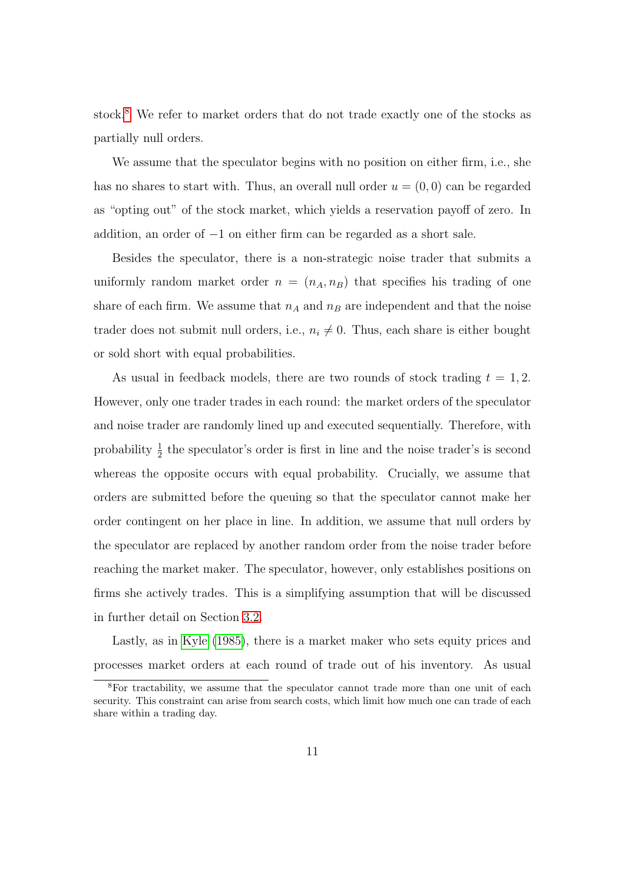stock.<sup>[8](#page-0-0)</sup> We refer to market orders that do not trade exactly one of the stocks as partially null orders.

We assume that the speculator begins with no position on either firm, i.e., she has no shares to start with. Thus, an overall null order  $u = (0,0)$  can be regarded as "opting out" of the stock market, which yields a reservation payoff of zero. In addition, an order of −1 on either firm can be regarded as a short sale.

Besides the speculator, there is a non-strategic noise trader that submits a uniformly random market order  $n = (n_A, n_B)$  that specifies his trading of one share of each firm. We assume that  $n_A$  and  $n_B$  are independent and that the noise trader does not submit null orders, i.e.,  $n_i \neq 0$ . Thus, each share is either bought or sold short with equal probabilities.

As usual in feedback models, there are two rounds of stock trading  $t = 1, 2$ . However, only one trader trades in each round: the market orders of the speculator and noise trader are randomly lined up and executed sequentially. Therefore, with probability  $\frac{1}{2}$  the speculator's order is first in line and the noise trader's is second whereas the opposite occurs with equal probability. Crucially, we assume that orders are submitted before the queuing so that the speculator cannot make her order contingent on her place in line. In addition, we assume that null orders by the speculator are replaced by another random order from the noise trader before reaching the market maker. The speculator, however, only establishes positions on firms she actively trades. This is a simplifying assumption that will be discussed in further detail on Section [3.2.](#page-12-0)

Lastly, as in [Kyle](#page-34-9) [\(1985\)](#page-34-9), there is a market maker who sets equity prices and processes market orders at each round of trade out of his inventory. As usual

<sup>8</sup>For tractability, we assume that the speculator cannot trade more than one unit of each security. This constraint can arise from search costs, which limit how much one can trade of each share within a trading day.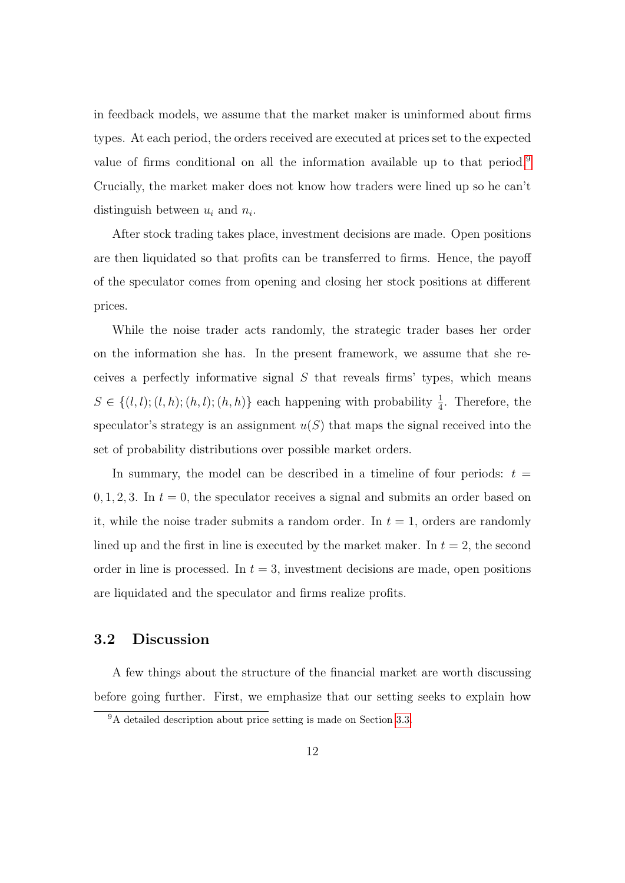in feedback models, we assume that the market maker is uninformed about firms types. At each period, the orders received are executed at prices set to the expected value of firms conditional on all the information available up to that period.<sup>[9](#page-0-0)</sup> Crucially, the market maker does not know how traders were lined up so he can't distinguish between  $u_i$  and  $n_i$ .

After stock trading takes place, investment decisions are made. Open positions are then liquidated so that profits can be transferred to firms. Hence, the payoff of the speculator comes from opening and closing her stock positions at different prices.

While the noise trader acts randomly, the strategic trader bases her order on the information she has. In the present framework, we assume that she receives a perfectly informative signal  $S$  that reveals firms' types, which means  $S \in \{(l, l); (l, h); (h, l); (h, h)\}\$ each happening with probability  $\frac{1}{4}$ . Therefore, the speculator's strategy is an assignment  $u(S)$  that maps the signal received into the set of probability distributions over possible market orders.

In summary, the model can be described in a timeline of four periods:  $t =$  $0, 1, 2, 3$ . In  $t = 0$ , the speculator receives a signal and submits an order based on it, while the noise trader submits a random order. In  $t = 1$ , orders are randomly lined up and the first in line is executed by the market maker. In  $t = 2$ , the second order in line is processed. In  $t = 3$ , investment decisions are made, open positions are liquidated and the speculator and firms realize profits.

### <span id="page-12-0"></span>3.2 Discussion

A few things about the structure of the financial market are worth discussing before going further. First, we emphasize that our setting seeks to explain how

<sup>9</sup>A detailed description about price setting is made on Section [3.3.](#page-14-0)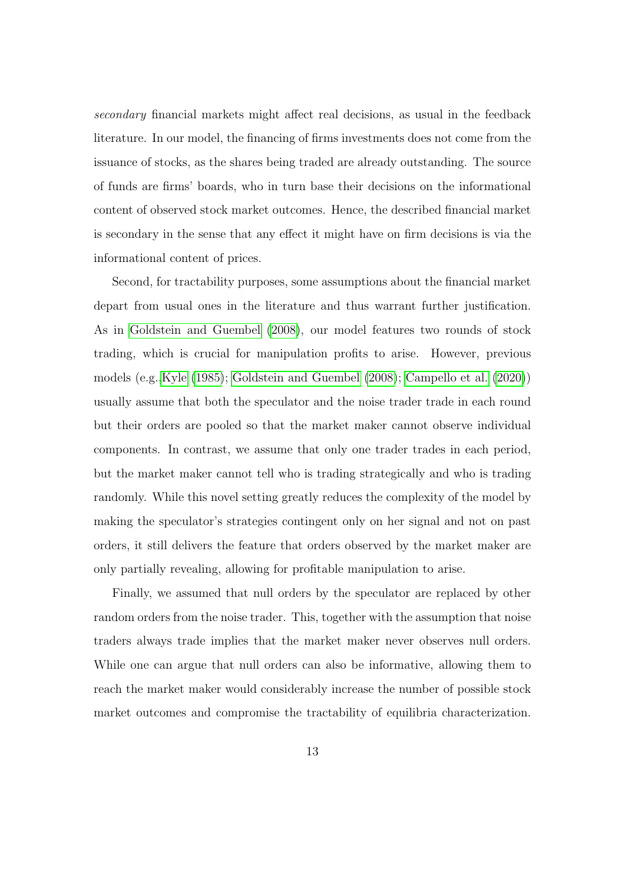secondary financial markets might affect real decisions, as usual in the feedback literature. In our model, the financing of firms investments does not come from the issuance of stocks, as the shares being traded are already outstanding. The source of funds are firms' boards, who in turn base their decisions on the informational content of observed stock market outcomes. Hence, the described financial market is secondary in the sense that any effect it might have on firm decisions is via the informational content of prices.

Second, for tractability purposes, some assumptions about the financial market depart from usual ones in the literature and thus warrant further justification. As in [Goldstein and Guembel](#page-34-0) [\(2008\)](#page-34-0), our model features two rounds of stock trading, which is crucial for manipulation profits to arise. However, previous models (e.g.[,Kyle](#page-34-9) [\(1985\)](#page-34-9); [Goldstein and Guembel](#page-34-0) [\(2008\)](#page-34-0); [Campello et al.](#page-33-3) [\(2020\)](#page-33-3)) usually assume that both the speculator and the noise trader trade in each round but their orders are pooled so that the market maker cannot observe individual components. In contrast, we assume that only one trader trades in each period, but the market maker cannot tell who is trading strategically and who is trading randomly. While this novel setting greatly reduces the complexity of the model by making the speculator's strategies contingent only on her signal and not on past orders, it still delivers the feature that orders observed by the market maker are only partially revealing, allowing for profitable manipulation to arise.

Finally, we assumed that null orders by the speculator are replaced by other random orders from the noise trader. This, together with the assumption that noise traders always trade implies that the market maker never observes null orders. While one can argue that null orders can also be informative, allowing them to reach the market maker would considerably increase the number of possible stock market outcomes and compromise the tractability of equilibria characterization.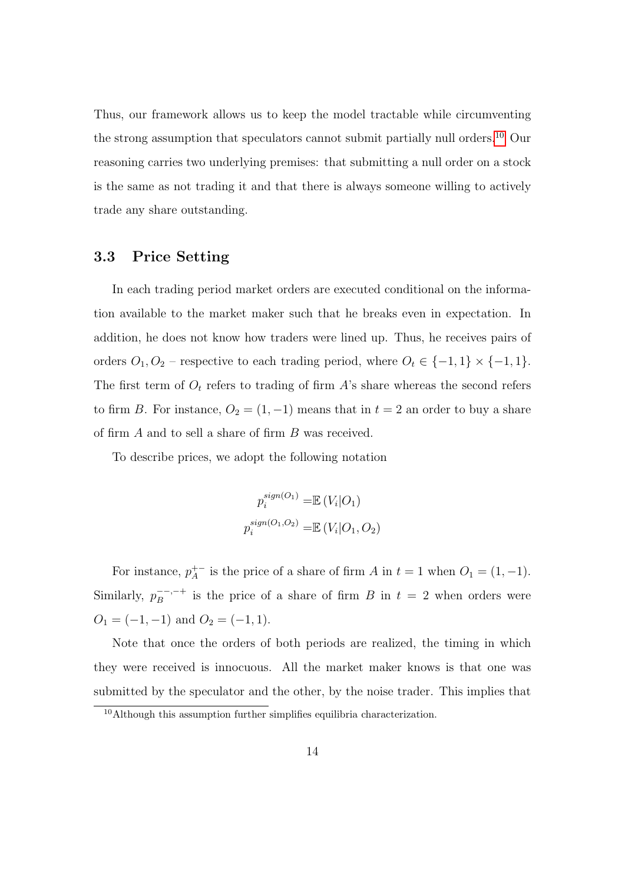Thus, our framework allows us to keep the model tractable while circumventing the strong assumption that speculators cannot submit partially null orders.[10](#page-0-0) Our reasoning carries two underlying premises: that submitting a null order on a stock is the same as not trading it and that there is always someone willing to actively trade any share outstanding.

## <span id="page-14-0"></span>3.3 Price Setting

In each trading period market orders are executed conditional on the information available to the market maker such that he breaks even in expectation. In addition, he does not know how traders were lined up. Thus, he receives pairs of orders  $O_1, O_2$  – respective to each trading period, where  $O_t \in \{-1, 1\} \times \{-1, 1\}$ . The first term of  $O_t$  refers to trading of firm  $A$ 's share whereas the second refers to firm B. For instance,  $O_2 = (1, -1)$  means that in  $t = 2$  an order to buy a share of firm A and to sell a share of firm B was received.

To describe prices, we adopt the following notation

$$
p_i^{sign(O_1)} = \mathbb{E}\left(V_i|O_1\right)
$$

$$
p_i^{sign(O_1, O_2)} = \mathbb{E}\left(V_i|O_1, O_2\right)
$$

For instance,  $p_A^{+-}$  $_{A}^{+-}$  is the price of a share of firm A in  $t = 1$  when  $O_1 = (1, -1)$ . Similarly,  $p_B^{---,-+}$  $B_{B}^{-,-,+}$  is the price of a share of firm B in  $t = 2$  when orders were  $O_1 = (-1, -1)$  and  $O_2 = (-1, 1)$ .

Note that once the orders of both periods are realized, the timing in which they were received is innocuous. All the market maker knows is that one was submitted by the speculator and the other, by the noise trader. This implies that

 $^{10}\mbox{Although this assumption further simplifies equilibria characterization.}$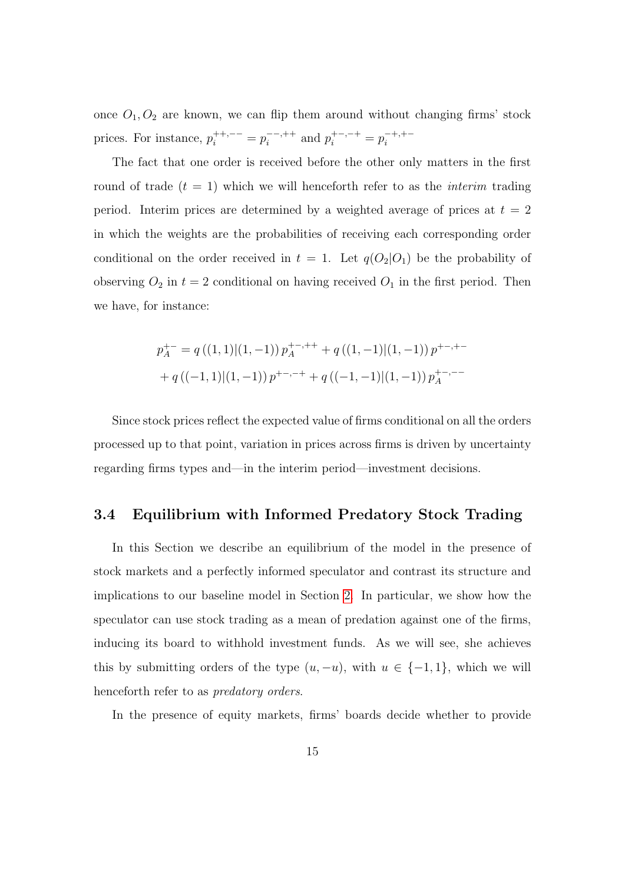once  $O_1, O_2$  are known, we can flip them around without changing firms' stock prices. For instance,  $p_i^{++,--} = p_i^{--,++}$  $p_i^{--,++}$  and  $p_i^{+-,-+} = p_i^{-+,+-}$ i

The fact that one order is received before the other only matters in the first round of trade  $(t = 1)$  which we will henceforth refer to as the *interim* trading period. Interim prices are determined by a weighted average of prices at  $t = 2$ in which the weights are the probabilities of receiving each corresponding order conditional on the order received in  $t = 1$ . Let  $q(O_2|O_1)$  be the probability of observing  $O_2$  in  $t = 2$  conditional on having received  $O_1$  in the first period. Then we have, for instance:

$$
p_A^{+-} = q((1,1)|(1,-1))p_A^{+-,++} + q((1,-1)|(1,-1))p^{+-,+-}
$$
  
+  $q((-1,1)|(1,-1))p^{+-,-+} + q((-1,-1)|(1,-1))p_A^{+,-,-}$ 

Since stock prices reflect the expected value of firms conditional on all the orders processed up to that point, variation in prices across firms is driven by uncertainty regarding firms types and—in the interim period—investment decisions.

### <span id="page-15-0"></span>3.4 Equilibrium with Informed Predatory Stock Trading

In this Section we describe an equilibrium of the model in the presence of stock markets and a perfectly informed speculator and contrast its structure and implications to our baseline model in Section [2.](#page-7-0) In particular, we show how the speculator can use stock trading as a mean of predation against one of the firms, inducing its board to withhold investment funds. As we will see, she achieves this by submitting orders of the type  $(u, -u)$ , with  $u \in \{-1, 1\}$ , which we will henceforth refer to as *predatory orders*.

In the presence of equity markets, firms' boards decide whether to provide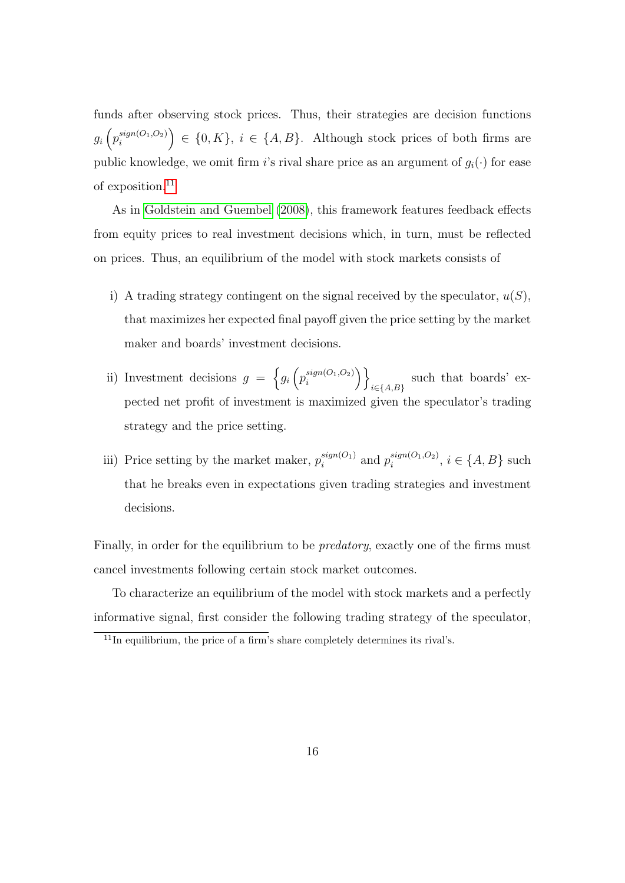funds after observing stock prices. Thus, their strategies are decision functions  $g_i\left(p_i^{sign(O_1,O_2)}\right)$  $\left( \begin{array}{c} \text{sign}(O_1,O_2) \\ \text{sign}(O_1,O_2) \end{array} \right) \in \{0,K\}, i \in \{A,B\}.$  Although stock prices of both firms are public knowledge, we omit firm i's rival share price as an argument of  $g_i(\cdot)$  for ease of exposition.<sup>[11](#page-0-0)</sup>

As in [Goldstein and Guembel](#page-34-0) [\(2008\)](#page-34-0), this framework features feedback effects from equity prices to real investment decisions which, in turn, must be reflected on prices. Thus, an equilibrium of the model with stock markets consists of

- i) A trading strategy contingent on the signal received by the speculator,  $u(S)$ , that maximizes her expected final payoff given the price setting by the market maker and boards' investment decisions.
- ii) Investment decisions  $g = \begin{cases} g_i \left( p_i^{sign(O_1, O_2)} \right) \end{cases}$  $\left\{\begin{matrix}sign(O_1,O_2)\ i\end{matrix}\right\}$ such that boards' ex-<br>  $i \in \{A, B\}$ pected net profit of investment is maximized given the speculator's trading strategy and the price setting.
- iii) Price setting by the market maker,  $p_i^{sign(O_1)}$  $\int_i^{sign(O_1)}$  and  $p_i^{sign(O_1,O_2)}$  $i_i^{sign(O_1, O_2)}, i \in \{A, B\}$  such that he breaks even in expectations given trading strategies and investment decisions.

Finally, in order for the equilibrium to be *predatory*, exactly one of the firms must cancel investments following certain stock market outcomes.

To characterize an equilibrium of the model with stock markets and a perfectly informative signal, first consider the following trading strategy of the speculator,

 $11$ In equilibrium, the price of a firm's share completely determines its rival's.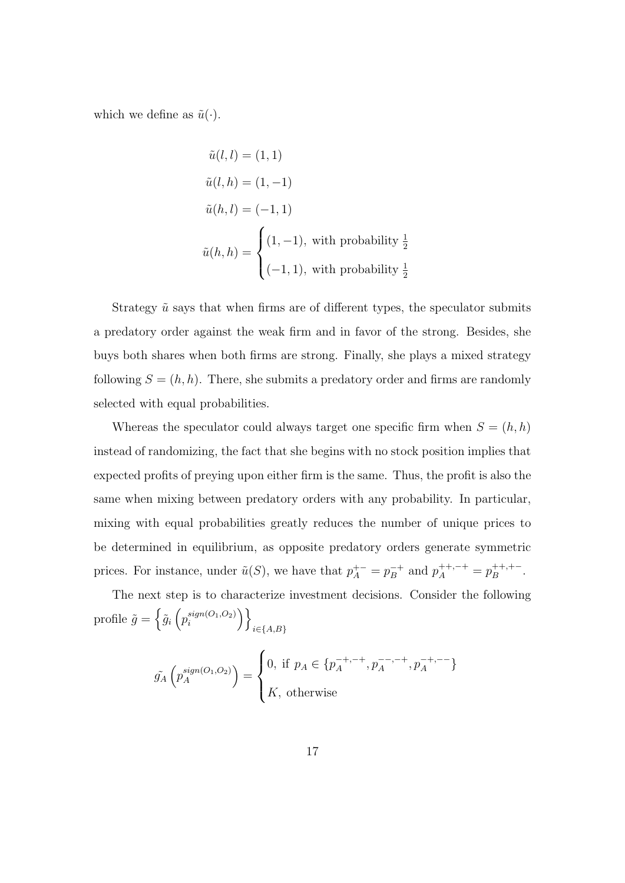which we define as  $\tilde{u}(\cdot)$ .

$$
\tilde{u}(l, l) = (1, 1)
$$
  
\n
$$
\tilde{u}(l, h) = (1, -1)
$$
  
\n
$$
\tilde{u}(h, l) = (-1, 1)
$$
  
\n
$$
\tilde{u}(h, h) = \begin{cases}\n(1, -1), & \text{with probability } \frac{1}{2} \\
(-1, 1), & \text{with probability } \frac{1}{2}\n\end{cases}
$$

Strategy  $\tilde{u}$  says that when firms are of different types, the speculator submits a predatory order against the weak firm and in favor of the strong. Besides, she buys both shares when both firms are strong. Finally, she plays a mixed strategy following  $S = (h, h)$ . There, she submits a predatory order and firms are randomly selected with equal probabilities.

Whereas the speculator could always target one specific firm when  $S = (h, h)$ instead of randomizing, the fact that she begins with no stock position implies that expected profits of preying upon either firm is the same. Thus, the profit is also the same when mixing between predatory orders with any probability. In particular, mixing with equal probabilities greatly reduces the number of unique prices to be determined in equilibrium, as opposite predatory orders generate symmetric prices. For instance, under  $\tilde{u}(S)$ , we have that  $p_A^{+-} = p_B^{-+}$  $p_B^{-+}$  and  $p_A^{++,-+} = p_B^{++,+-}$  $B^{++,+--}$ .

The next step is to characterize investment decisions. Consider the following profile  $\tilde{g} = \left\{ \tilde{g}_i \left( p_i^{sign(O_1, O_2)} \right) \right\}$  $\left\{\begin{matrix}sign(O_1,O_2)\ i\end{matrix}\right\}$  $i \in \{A,B\}$ 

$$
\tilde{g_A}\left(p_A^{sign(O_1,O_2)}\right) = \begin{cases} 0, \text{ if } p_A \in \{p_A^{-+, -+}, p_A^{--, -+}, p_A^{-+,--}\} \\ K, \text{ otherwise} \end{cases}
$$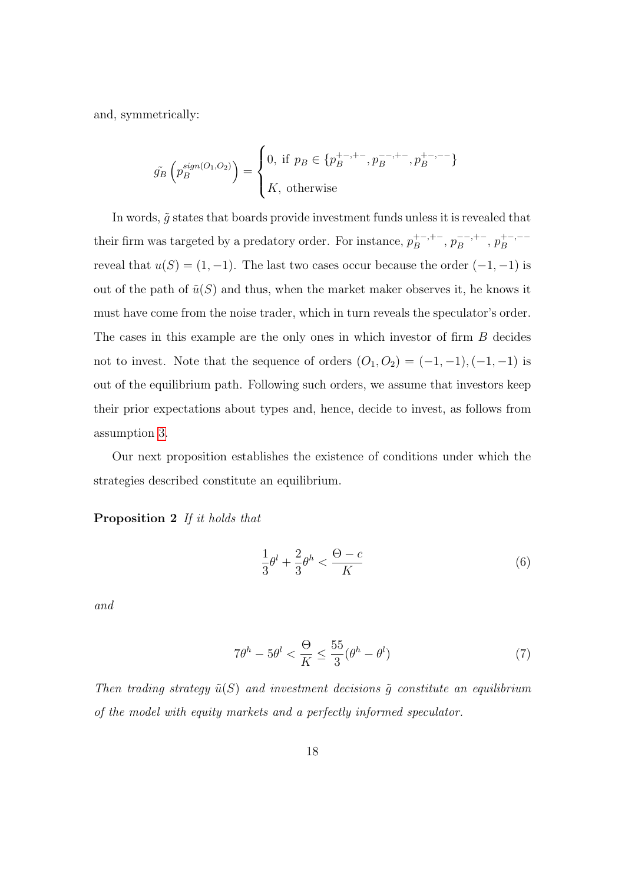and, symmetrically:

$$
\tilde{g_B}\left(p_B^{sign(O_1,O_2)}\right) = \begin{cases} 0, \text{ if } p_B \in \{p_B^{+-,+-}, p_B^{--,+-}, p_B^{+---}\} \\ K, \text{ otherwise} \end{cases}
$$

In words,  $\tilde{g}$  states that boards provide investment funds unless it is revealed that their firm was targeted by a predatory order. For instance,  $p_B^{+,-,+-}$  $p_B^{+-,+-}, p_B^{---,+-}$  $p_B^{---,+-}, p_B^{+---}$ B reveal that  $u(S) = (1, -1)$ . The last two cases occur because the order  $(-1, -1)$  is out of the path of  $\tilde{u}(S)$  and thus, when the market maker observes it, he knows it must have come from the noise trader, which in turn reveals the speculator's order. The cases in this example are the only ones in which investor of firm B decides not to invest. Note that the sequence of orders  $(O_1, O_2) = (-1, -1), (-1, -1)$  is out of the equilibrium path. Following such orders, we assume that investors keep their prior expectations about types and, hence, decide to invest, as follows from assumption [3.](#page-8-0)

Our next proposition establishes the existence of conditions under which the strategies described constitute an equilibrium.

#### <span id="page-18-2"></span>Proposition 2 If it holds that

<span id="page-18-0"></span>
$$
\frac{1}{3}\theta^l + \frac{2}{3}\theta^h < \frac{\Theta - c}{K} \tag{6}
$$

and

<span id="page-18-1"></span>
$$
7\theta^h - 5\theta^l < \frac{\Theta}{K} \le \frac{55}{3}(\theta^h - \theta^l) \tag{7}
$$

Then trading strategy  $\tilde{u}(S)$  and investment decisions  $\tilde{g}$  constitute an equilibrium of the model with equity markets and a perfectly informed speculator.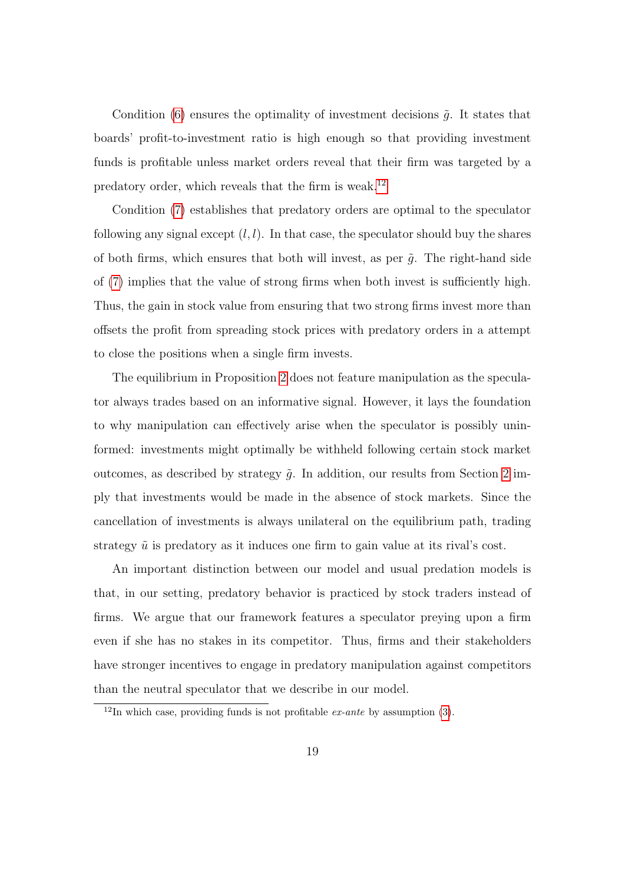Condition [\(6\)](#page-18-0) ensures the optimality of investment decisions  $\tilde{g}$ . It states that boards' profit-to-investment ratio is high enough so that providing investment funds is profitable unless market orders reveal that their firm was targeted by a predatory order, which reveals that the firm is weak.[12](#page-0-0)

Condition [\(7\)](#page-18-1) establishes that predatory orders are optimal to the speculator following any signal except  $(l, l)$ . In that case, the speculator should buy the shares of both firms, which ensures that both will invest, as per  $\tilde{q}$ . The right-hand side of [\(7\)](#page-18-1) implies that the value of strong firms when both invest is sufficiently high. Thus, the gain in stock value from ensuring that two strong firms invest more than offsets the profit from spreading stock prices with predatory orders in a attempt to close the positions when a single firm invests.

The equilibrium in Proposition [2](#page-18-2) does not feature manipulation as the speculator always trades based on an informative signal. However, it lays the foundation to why manipulation can effectively arise when the speculator is possibly uninformed: investments might optimally be withheld following certain stock market outcomes, as described by strategy  $\tilde{g}$ . In addition, our results from Section [2](#page-7-0) imply that investments would be made in the absence of stock markets. Since the cancellation of investments is always unilateral on the equilibrium path, trading strategy  $\tilde{u}$  is predatory as it induces one firm to gain value at its rival's cost.

An important distinction between our model and usual predation models is that, in our setting, predatory behavior is practiced by stock traders instead of firms. We argue that our framework features a speculator preying upon a firm even if she has no stakes in its competitor. Thus, firms and their stakeholders have stronger incentives to engage in predatory manipulation against competitors than the neutral speculator that we describe in our model.

 $12$ In which case, providing funds is not profitable *ex-ante* by assumption [\(3\)](#page-8-0).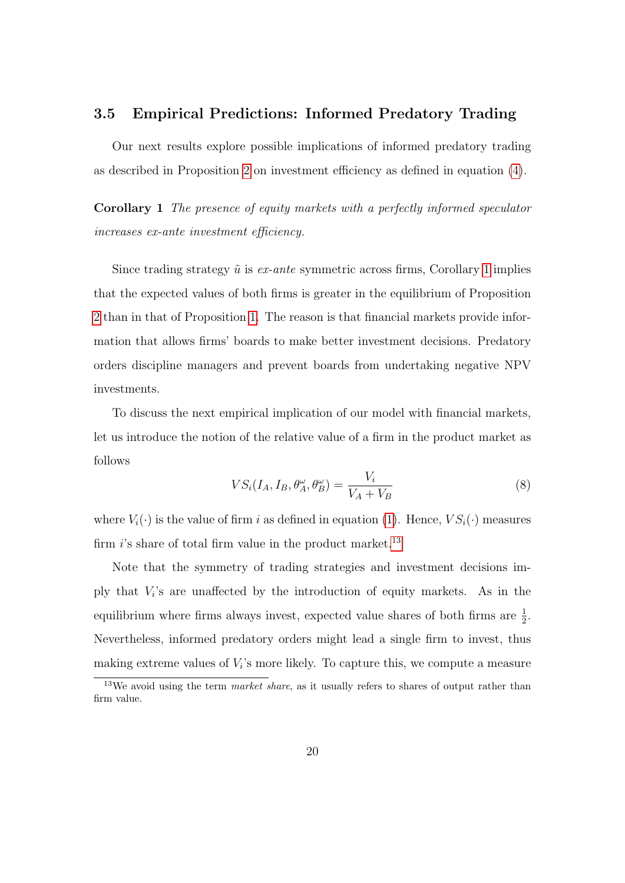### <span id="page-20-1"></span>3.5 Empirical Predictions: Informed Predatory Trading

Our next results explore possible implications of informed predatory trading as described in Proposition [2](#page-18-2) on investment efficiency as defined in equation [\(4\)](#page-9-1).

<span id="page-20-0"></span>Corollary 1 The presence of equity markets with a perfectly informed speculator increases ex-ante investment efficiency.

Since trading strategy  $\tilde{u}$  is *ex-ante* symmetric across firms, Corollary [1](#page-20-0) implies that the expected values of both firms is greater in the equilibrium of Proposition [2](#page-18-2) than in that of Proposition [1.](#page-9-0) The reason is that financial markets provide information that allows firms' boards to make better investment decisions. Predatory orders discipline managers and prevent boards from undertaking negative NPV investments.

To discuss the next empirical implication of our model with financial markets, let us introduce the notion of the relative value of a firm in the product market as follows

$$
VS_i(I_A, I_B, \theta_A^{\omega}, \theta_B^{\omega}) = \frac{V_i}{V_A + V_B}
$$
\n(8)

where  $V_i(\cdot)$  is the value of firm i as defined in equation [\(1\)](#page-7-2). Hence,  $VS_i(\cdot)$  measures firm  $i$ 's share of total firm value in the product market.<sup>[13](#page-0-0)</sup>

Note that the symmetry of trading strategies and investment decisions imply that  $V_i$ 's are unaffected by the introduction of equity markets. As in the equilibrium where firms always invest, expected value shares of both firms are  $\frac{1}{2}$ . Nevertheless, informed predatory orders might lead a single firm to invest, thus making extreme values of  $V_i$ 's more likely. To capture this, we compute a measure

 $13$ We avoid using the term *market share*, as it usually refers to shares of output rather than firm value.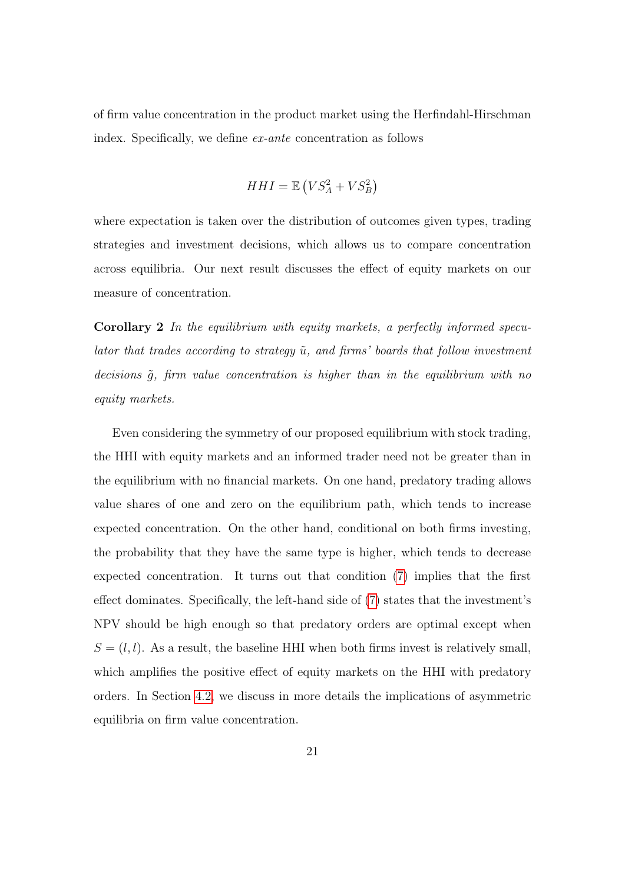of firm value concentration in the product market using the Herfindahl-Hirschman index. Specifically, we define ex-ante concentration as follows

$$
HHI = \mathbb{E}\left(VS_A^2 + VS_B^2\right)
$$

where expectation is taken over the distribution of outcomes given types, trading strategies and investment decisions, which allows us to compare concentration across equilibria. Our next result discusses the effect of equity markets on our measure of concentration.

<span id="page-21-0"></span>Corollary 2 In the equilibrium with equity markets, a perfectly informed speculator that trades according to strategy  $\tilde{u}$ , and firms' boards that follow investment decisions  $\tilde{q}$ , firm value concentration is higher than in the equilibrium with no equity markets.

Even considering the symmetry of our proposed equilibrium with stock trading, the HHI with equity markets and an informed trader need not be greater than in the equilibrium with no financial markets. On one hand, predatory trading allows value shares of one and zero on the equilibrium path, which tends to increase expected concentration. On the other hand, conditional on both firms investing, the probability that they have the same type is higher, which tends to decrease expected concentration. It turns out that condition [\(7\)](#page-18-1) implies that the first effect dominates. Specifically, the left-hand side of [\(7\)](#page-18-1) states that the investment's NPV should be high enough so that predatory orders are optimal except when  $S = (l, l)$ . As a result, the baseline HHI when both firms invest is relatively small, which amplifies the positive effect of equity markets on the HHI with predatory orders. In Section [4.2,](#page-25-0) we discuss in more details the implications of asymmetric equilibria on firm value concentration.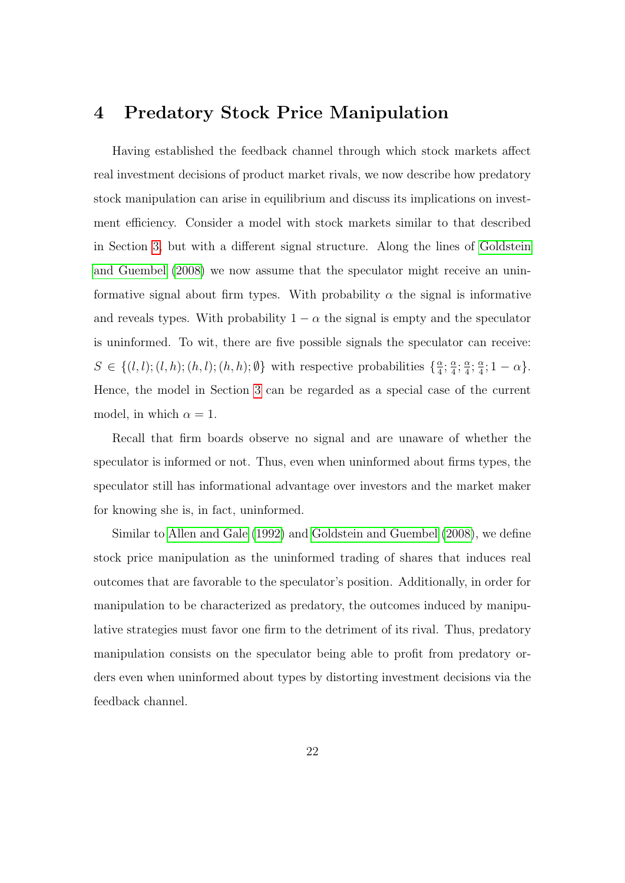# <span id="page-22-0"></span>4 Predatory Stock Price Manipulation

Having established the feedback channel through which stock markets affect real investment decisions of product market rivals, we now describe how predatory stock manipulation can arise in equilibrium and discuss its implications on investment efficiency. Consider a model with stock markets similar to that described in Section [3,](#page-10-0) but with a different signal structure. Along the lines of [Goldstein](#page-34-0) [and Guembel](#page-34-0) [\(2008\)](#page-34-0) we now assume that the speculator might receive an uninformative signal about firm types. With probability  $\alpha$  the signal is informative and reveals types. With probability  $1 - \alpha$  the signal is empty and the speculator is uninformed. To wit, there are five possible signals the speculator can receive:  $S \in \{(l, l); (l, h); (h, l); (h, h); \emptyset\}$  with respective probabilities  $\{\frac{\alpha}{4}, \frac{\alpha}{2}, \frac{\beta}{4}, \frac{\beta}{4}\}$  $\frac{\alpha}{4}$ ;  $\frac{\alpha}{4}$  $\frac{\alpha}{4}$ ;  $\frac{\alpha}{4}$  $\frac{\alpha}{4}$ ;  $\frac{\alpha}{4}$  $\frac{\alpha}{4}$ ; 1 –  $\alpha$  }. Hence, the model in Section [3](#page-10-0) can be regarded as a special case of the current model, in which  $\alpha = 1$ .

Recall that firm boards observe no signal and are unaware of whether the speculator is informed or not. Thus, even when uninformed about firms types, the speculator still has informational advantage over investors and the market maker for knowing she is, in fact, uninformed.

Similar to [Allen and Gale](#page-32-1) [\(1992\)](#page-32-1) and [Goldstein and Guembel](#page-34-0) [\(2008\)](#page-34-0), we define stock price manipulation as the uninformed trading of shares that induces real outcomes that are favorable to the speculator's position. Additionally, in order for manipulation to be characterized as predatory, the outcomes induced by manipulative strategies must favor one firm to the detriment of its rival. Thus, predatory manipulation consists on the speculator being able to profit from predatory orders even when uninformed about types by distorting investment decisions via the feedback channel.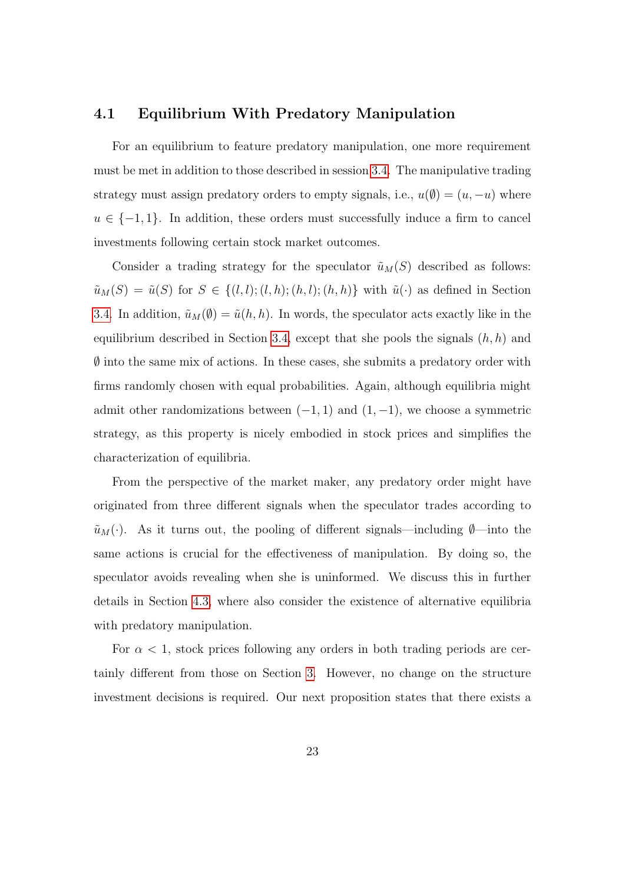### <span id="page-23-0"></span>4.1 Equilibrium With Predatory Manipulation

For an equilibrium to feature predatory manipulation, one more requirement must be met in addition to those described in session [3.4.](#page-15-0) The manipulative trading strategy must assign predatory orders to empty signals, i.e.,  $u(\emptyset) = (u, -u)$  where  $u \in \{-1,1\}$ . In addition, these orders must successfully induce a firm to cancel investments following certain stock market outcomes.

Consider a trading strategy for the speculator  $\tilde{u}_M(S)$  described as follows:  $\tilde{u}_M(S) = \tilde{u}(S)$  for  $S \in \{(l, l); (l, h); (h, l); (h, h)\}\$  with  $\tilde{u}(\cdot)$  as defined in Section [3.4.](#page-15-0) In addition,  $\tilde{u}_M(\emptyset) = \tilde{u}(h, h)$ . In words, the speculator acts exactly like in the equilibrium described in Section [3.4,](#page-15-0) except that she pools the signals  $(h, h)$  and  $\emptyset$  into the same mix of actions. In these cases, she submits a predatory order with firms randomly chosen with equal probabilities. Again, although equilibria might admit other randomizations between  $(-1, 1)$  and  $(1, -1)$ , we choose a symmetric strategy, as this property is nicely embodied in stock prices and simplifies the characterization of equilibria.

From the perspective of the market maker, any predatory order might have originated from three different signals when the speculator trades according to  $\tilde{u}_M(\cdot)$ . As it turns out, the pooling of different signals—including  $\emptyset$ —into the same actions is crucial for the effectiveness of manipulation. By doing so, the speculator avoids revealing when she is uninformed. We discuss this in further details in Section [4.3,](#page-27-0) where also consider the existence of alternative equilibria with predatory manipulation.

For  $\alpha < 1$ , stock prices following any orders in both trading periods are certainly different from those on Section [3.](#page-10-0) However, no change on the structure investment decisions is required. Our next proposition states that there exists a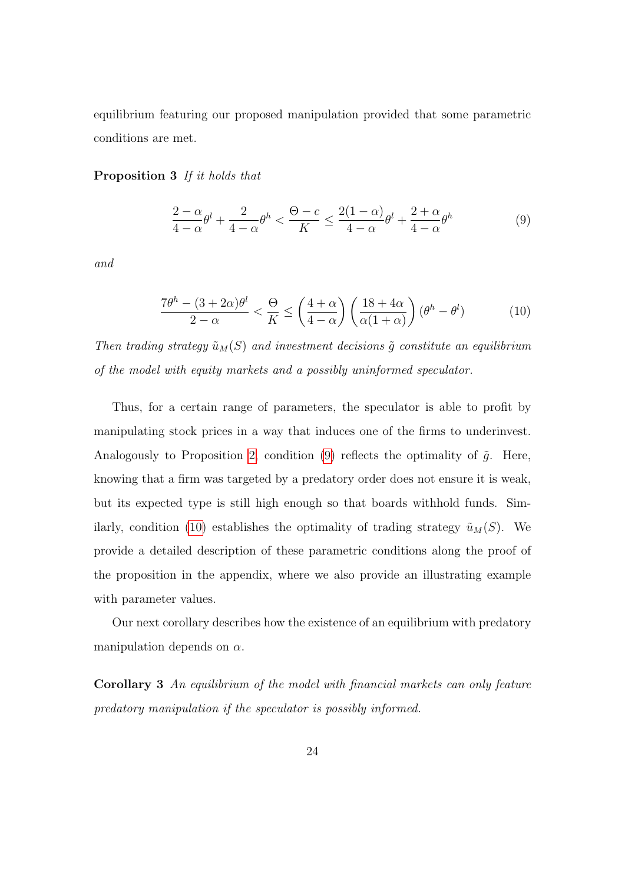equilibrium featuring our proposed manipulation provided that some parametric conditions are met.

<span id="page-24-3"></span>Proposition 3 If it holds that

<span id="page-24-0"></span>
$$
\frac{2-\alpha}{4-\alpha}\theta^l + \frac{2}{4-\alpha}\theta^h < \frac{\Theta-c}{K} \le \frac{2(1-\alpha)}{4-\alpha}\theta^l + \frac{2+\alpha}{4-\alpha}\theta^h \tag{9}
$$

and

<span id="page-24-1"></span>
$$
\frac{7\theta^h - (3+2\alpha)\theta^l}{2-\alpha} < \frac{\Theta}{K} \le \left(\frac{4+\alpha}{4-\alpha}\right) \left(\frac{18+4\alpha}{\alpha(1+\alpha)}\right) \left(\theta^h - \theta^l\right) \tag{10}
$$

Then trading strategy  $\tilde{u}_M(S)$  and investment decisions  $\tilde{g}$  constitute an equilibrium of the model with equity markets and a possibly uninformed speculator.

Thus, for a certain range of parameters, the speculator is able to profit by manipulating stock prices in a way that induces one of the firms to underinvest. Analogously to Proposition [2,](#page-18-2) condition [\(9\)](#page-24-0) reflects the optimality of  $\tilde{g}$ . Here, knowing that a firm was targeted by a predatory order does not ensure it is weak, but its expected type is still high enough so that boards withhold funds. Sim-ilarly, condition [\(10\)](#page-24-1) establishes the optimality of trading strategy  $\tilde{u}_M(S)$ . We provide a detailed description of these parametric conditions along the proof of the proposition in the appendix, where we also provide an illustrating example with parameter values.

Our next corollary describes how the existence of an equilibrium with predatory manipulation depends on  $\alpha$ .

<span id="page-24-2"></span>Corollary 3 An equilibrium of the model with financial markets can only feature predatory manipulation if the speculator is possibly informed.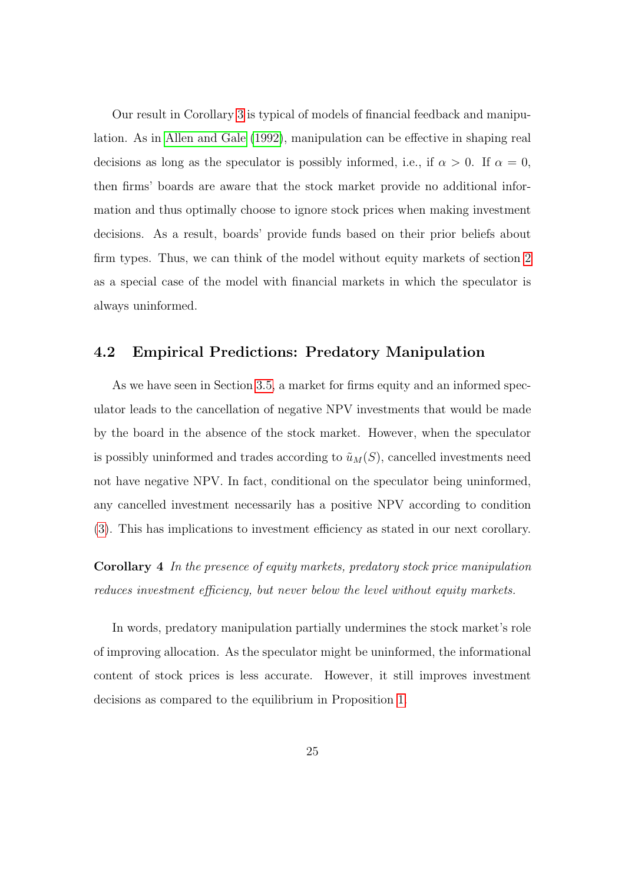Our result in Corollary [3](#page-24-2) is typical of models of financial feedback and manipulation. As in [Allen and Gale](#page-32-1) [\(1992\)](#page-32-1), manipulation can be effective in shaping real decisions as long as the speculator is possibly informed, i.e., if  $\alpha > 0$ . If  $\alpha = 0$ , then firms' boards are aware that the stock market provide no additional information and thus optimally choose to ignore stock prices when making investment decisions. As a result, boards' provide funds based on their prior beliefs about firm types. Thus, we can think of the model without equity markets of section [2](#page-7-0) as a special case of the model with financial markets in which the speculator is always uninformed.

## <span id="page-25-0"></span>4.2 Empirical Predictions: Predatory Manipulation

As we have seen in Section [3.5,](#page-20-1) a market for firms equity and an informed speculator leads to the cancellation of negative NPV investments that would be made by the board in the absence of the stock market. However, when the speculator is possibly uninformed and trades according to  $\tilde{u}_M(S)$ , cancelled investments need not have negative NPV. In fact, conditional on the speculator being uninformed, any cancelled investment necessarily has a positive NPV according to condition [\(3\)](#page-8-0). This has implications to investment efficiency as stated in our next corollary.

<span id="page-25-1"></span>Corollary 4 In the presence of equity markets, predatory stock price manipulation reduces investment efficiency, but never below the level without equity markets.

In words, predatory manipulation partially undermines the stock market's role of improving allocation. As the speculator might be uninformed, the informational content of stock prices is less accurate. However, it still improves investment decisions as compared to the equilibrium in Proposition [1.](#page-9-0)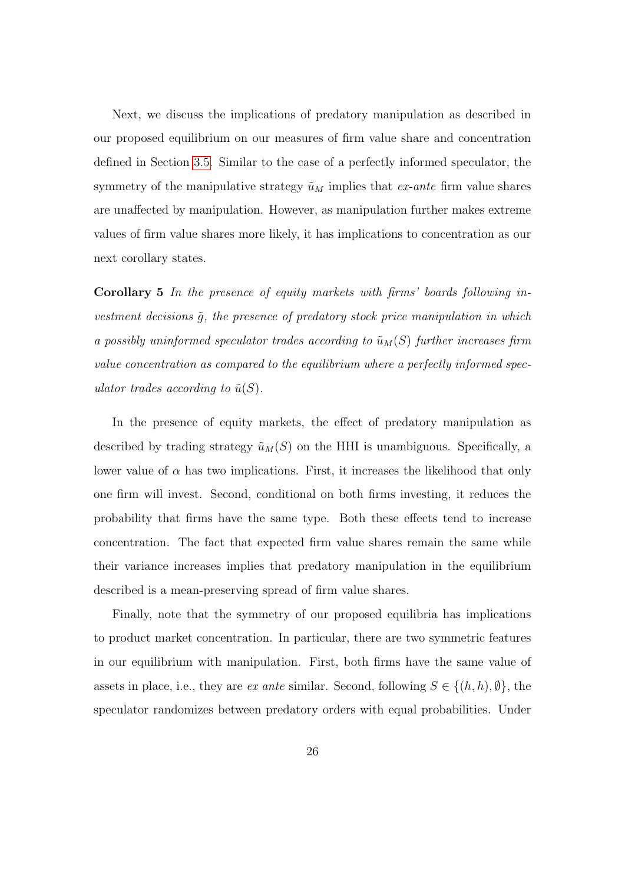Next, we discuss the implications of predatory manipulation as described in our proposed equilibrium on our measures of firm value share and concentration defined in Section [3.5.](#page-20-1) Similar to the case of a perfectly informed speculator, the symmetry of the manipulative strategy  $\tilde{u}_M$  implies that ex-ante firm value shares are unaffected by manipulation. However, as manipulation further makes extreme values of firm value shares more likely, it has implications to concentration as our next corollary states.

<span id="page-26-0"></span>Corollary 5 In the presence of equity markets with firms' boards following investment decisions  $\tilde{g}$ , the presence of predatory stock price manipulation in which a possibly uninformed speculator trades according to  $\tilde{u}_M(S)$  further increases firm value concentration as compared to the equilibrium where a perfectly informed speculator trades according to  $\tilde{u}(S)$ .

In the presence of equity markets, the effect of predatory manipulation as described by trading strategy  $\tilde{u}_M(S)$  on the HHI is unambiguous. Specifically, a lower value of  $\alpha$  has two implications. First, it increases the likelihood that only one firm will invest. Second, conditional on both firms investing, it reduces the probability that firms have the same type. Both these effects tend to increase concentration. The fact that expected firm value shares remain the same while their variance increases implies that predatory manipulation in the equilibrium described is a mean-preserving spread of firm value shares.

Finally, note that the symmetry of our proposed equilibria has implications to product market concentration. In particular, there are two symmetric features in our equilibrium with manipulation. First, both firms have the same value of assets in place, i.e., they are ex ante similar. Second, following  $S \in \{(h, h), \emptyset\}$ , the speculator randomizes between predatory orders with equal probabilities. Under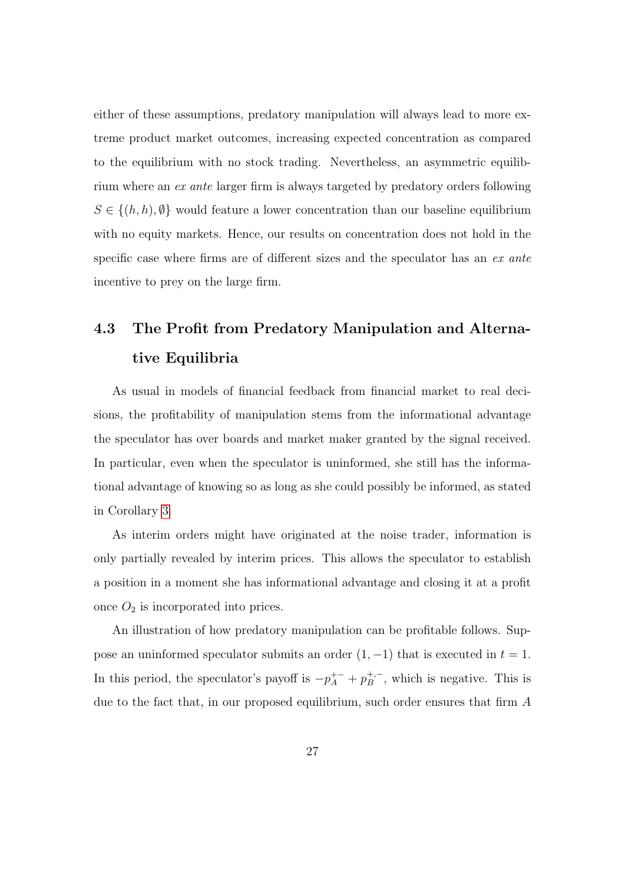either of these assumptions, predatory manipulation will always lead to more extreme product market outcomes, increasing expected concentration as compared to the equilibrium with no stock trading. Nevertheless, an asymmetric equilibrium where an ex ante larger firm is always targeted by predatory orders following  $S \in \{(h, h), \emptyset\}$  would feature a lower concentration than our baseline equilibrium with no equity markets. Hence, our results on concentration does not hold in the specific case where firms are of different sizes and the speculator has an ex ante incentive to prey on the large firm.

# <span id="page-27-0"></span>4.3 The Profit from Predatory Manipulation and Alternative Equilibria

As usual in models of financial feedback from financial market to real decisions, the profitability of manipulation stems from the informational advantage the speculator has over boards and market maker granted by the signal received. In particular, even when the speculator is uninformed, she still has the informational advantage of knowing so as long as she could possibly be informed, as stated in Corollary [3.](#page-24-2)

As interim orders might have originated at the noise trader, information is only partially revealed by interim prices. This allows the speculator to establish a position in a moment she has informational advantage and closing it at a profit once  $O_2$  is incorporated into prices.

An illustration of how predatory manipulation can be profitable follows. Suppose an uninformed speculator submits an order  $(1, -1)$  that is executed in  $t = 1$ . In this period, the speculator's payoff is  $-p_A^{+-} + p_B^{+,-}$  $B^{\dagger,-}$ , which is negative. This is due to the fact that, in our proposed equilibrium, such order ensures that firm A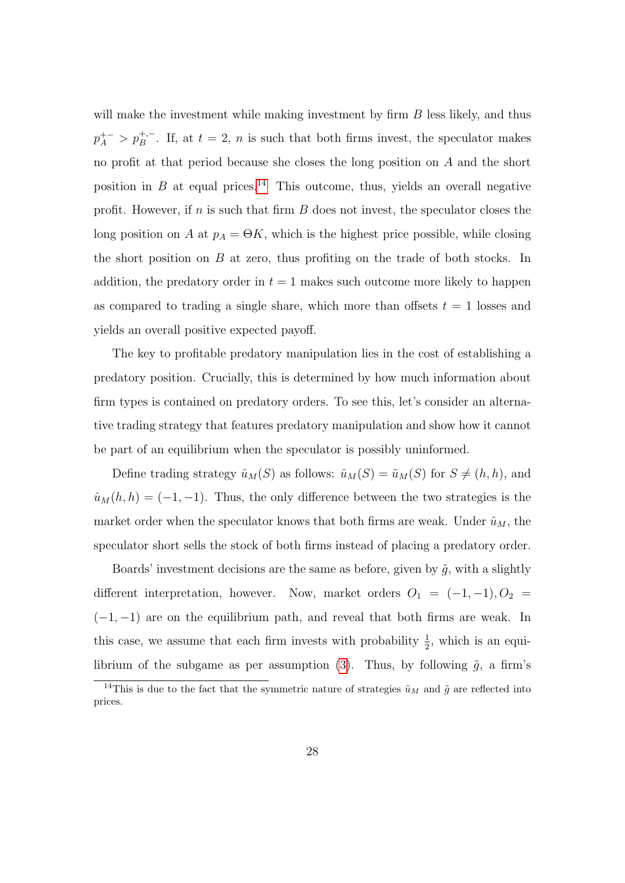will make the investment while making investment by firm  $B$  less likely, and thus  $p_A^{+-} > p_B^{+,-}$ . If, at  $t = 2$ , n is such that both firms invest, the speculator makes no profit at that period because she closes the long position on A and the short position in  $B$  at equal prices.<sup>[14](#page-0-0)</sup> This outcome, thus, yields an overall negative profit. However, if  $n$  is such that firm  $B$  does not invest, the speculator closes the long position on A at  $p_A = \Theta K$ , which is the highest price possible, while closing the short position on  $B$  at zero, thus profiting on the trade of both stocks. In addition, the predatory order in  $t = 1$  makes such outcome more likely to happen as compared to trading a single share, which more than offsets  $t = 1$  losses and yields an overall positive expected payoff.

The key to profitable predatory manipulation lies in the cost of establishing a predatory position. Crucially, this is determined by how much information about firm types is contained on predatory orders. To see this, let's consider an alternative trading strategy that features predatory manipulation and show how it cannot be part of an equilibrium when the speculator is possibly uninformed.

Define trading strategy  $\hat{u}_M(S)$  as follows:  $\hat{u}_M(S) = \tilde{u}_M(S)$  for  $S \neq (h, h)$ , and  $\hat{u}_M(h, h) = (-1, -1)$ . Thus, the only difference between the two strategies is the market order when the speculator knows that both firms are weak. Under  $\hat{u}_M$ , the speculator short sells the stock of both firms instead of placing a predatory order.

Boards' investment decisions are the same as before, given by  $\tilde{q}$ , with a slightly different interpretation, however. Now, market orders  $O_1 = (-1,-1), O_2 =$  $(-1, -1)$  are on the equilibrium path, and reveal that both firms are weak. In this case, we assume that each firm invests with probability  $\frac{1}{2}$ , which is an equi-librium of the subgame as per assumption [\(3\)](#page-8-0). Thus, by following  $\tilde{g}$ , a firm's

<sup>&</sup>lt;sup>14</sup>This is due to the fact that the symmetric nature of strategies  $\tilde{u}_M$  and  $\tilde{g}$  are reflected into prices.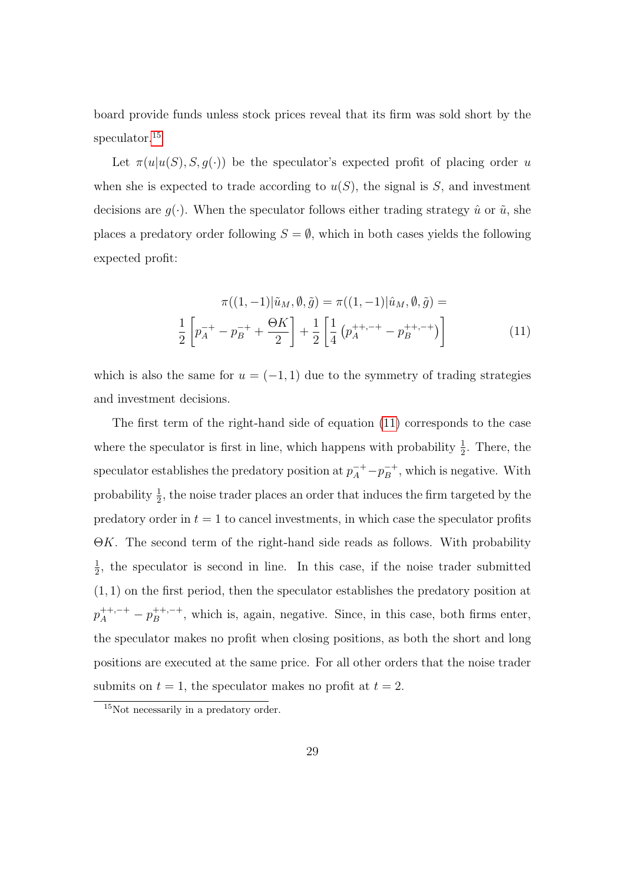board provide funds unless stock prices reveal that its firm was sold short by the speculator.<sup>[15](#page-0-0)</sup>

Let  $\pi(u|u(S), S, g(\cdot))$  be the speculator's expected profit of placing order u when she is expected to trade according to  $u(S)$ , the signal is S, and investment decisions are  $q(\cdot)$ . When the speculator follows either trading strategy  $\hat{u}$  or  $\tilde{u}$ , she places a predatory order following  $S = \emptyset$ , which in both cases yields the following expected profit:

<span id="page-29-0"></span>
$$
\pi((1,-1)|\tilde{u}_M,\emptyset,\tilde{g}) = \pi((1,-1)|\hat{u}_M,\emptyset,\tilde{g}) =
$$
  

$$
\frac{1}{2}\left[p_A^{-+} - p_B^{-+} + \frac{\Theta K}{2}\right] + \frac{1}{2}\left[\frac{1}{4}\left(p_A^{++,-+} - p_B^{++,-+}\right)\right]
$$
(11)

which is also the same for  $u = (-1, 1)$  due to the symmetry of trading strategies and investment decisions.

The first term of the right-hand side of equation [\(11\)](#page-29-0) corresponds to the case where the speculator is first in line, which happens with probability  $\frac{1}{2}$ . There, the speculator establishes the predatory position at  $p_A^{-+} - p_B^{-+}$  $\overline{B}^+$ , which is negative. With probability  $\frac{1}{2}$ , the noise trader places an order that induces the firm targeted by the predatory order in  $t = 1$  to cancel investments, in which case the speculator profits  $\Theta K$ . The second term of the right-hand side reads as follows. With probability 1  $\frac{1}{2}$ , the speculator is second in line. In this case, if the noise trader submitted  $(1, 1)$  on the first period, then the speculator establishes the predatory position at  $p_A^{++,-+} - p_B^{++,-+}$  $B_B^{+, -+}$ , which is, again, negative. Since, in this case, both firms enter, the speculator makes no profit when closing positions, as both the short and long positions are executed at the same price. For all other orders that the noise trader submits on  $t = 1$ , the speculator makes no profit at  $t = 2$ .

<sup>15</sup>Not necessarily in a predatory order.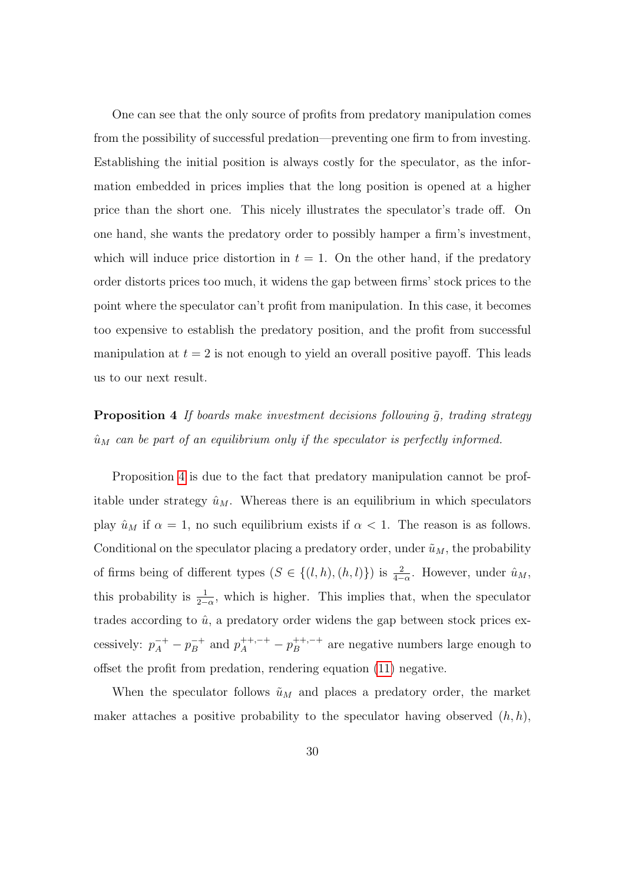One can see that the only source of profits from predatory manipulation comes from the possibility of successful predation—preventing one firm to from investing. Establishing the initial position is always costly for the speculator, as the information embedded in prices implies that the long position is opened at a higher price than the short one. This nicely illustrates the speculator's trade off. On one hand, she wants the predatory order to possibly hamper a firm's investment, which will induce price distortion in  $t = 1$ . On the other hand, if the predatory order distorts prices too much, it widens the gap between firms' stock prices to the point where the speculator can't profit from manipulation. In this case, it becomes too expensive to establish the predatory position, and the profit from successful manipulation at  $t = 2$  is not enough to yield an overall positive payoff. This leads us to our next result.

# <span id="page-30-0"></span>**Proposition 4** If boards make investment decisions following  $\tilde{g}$ , trading strategy  $\hat{u}_M$  can be part of an equilibrium only if the speculator is perfectly informed.

Proposition [4](#page-30-0) is due to the fact that predatory manipulation cannot be profitable under strategy  $\hat{u}_M$ . Whereas there is an equilibrium in which speculators play  $\hat{u}_M$  if  $\alpha = 1$ , no such equilibrium exists if  $\alpha < 1$ . The reason is as follows. Conditional on the speculator placing a predatory order, under  $\tilde{u}_M$ , the probability of firms being of different types  $(S \in \{(l, h), (h, l)\})$  is  $\frac{2}{4-\alpha}$ . However, under  $\hat{u}_M$ , this probability is  $\frac{1}{2-\alpha}$ , which is higher. This implies that, when the speculator trades according to  $\hat{u}$ , a predatory order widens the gap between stock prices excessively:  $p_A^{-+} - p_B^{-+}$  $p_B^{-+}$  and  $p_A^{++,-+} - p_B^{++,-+}$  $B_B^{++,-+}$  are negative numbers large enough to offset the profit from predation, rendering equation [\(11\)](#page-29-0) negative.

When the speculator follows  $\tilde{u}_M$  and places a predatory order, the market maker attaches a positive probability to the speculator having observed  $(h, h)$ ,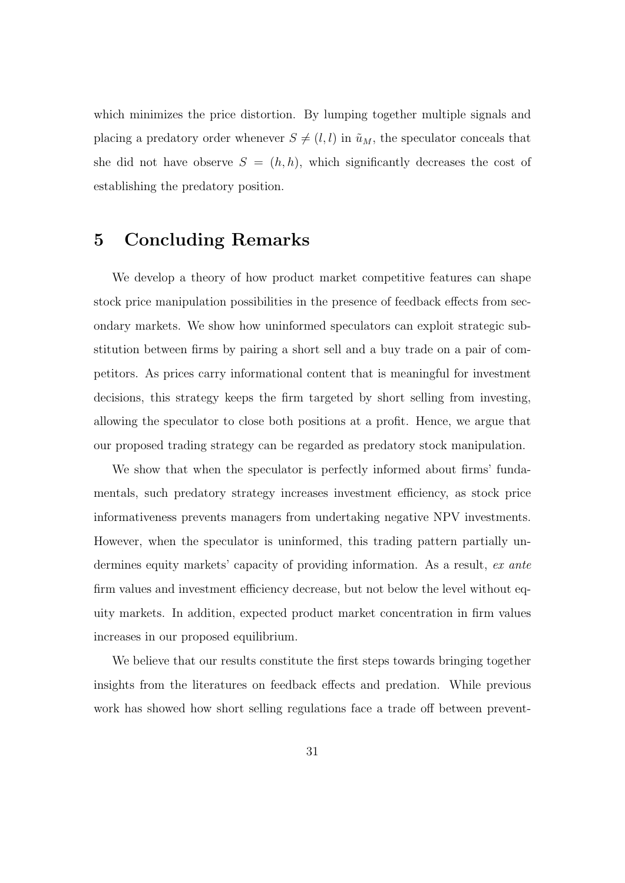which minimizes the price distortion. By lumping together multiple signals and placing a predatory order whenever  $S \neq (l, l)$  in  $\tilde{u}_M$ , the speculator conceals that she did not have observe  $S = (h, h)$ , which significantly decreases the cost of establishing the predatory position.

# <span id="page-31-0"></span>5 Concluding Remarks

We develop a theory of how product market competitive features can shape stock price manipulation possibilities in the presence of feedback effects from secondary markets. We show how uninformed speculators can exploit strategic substitution between firms by pairing a short sell and a buy trade on a pair of competitors. As prices carry informational content that is meaningful for investment decisions, this strategy keeps the firm targeted by short selling from investing, allowing the speculator to close both positions at a profit. Hence, we argue that our proposed trading strategy can be regarded as predatory stock manipulation.

We show that when the speculator is perfectly informed about firms' fundamentals, such predatory strategy increases investment efficiency, as stock price informativeness prevents managers from undertaking negative NPV investments. However, when the speculator is uninformed, this trading pattern partially undermines equity markets' capacity of providing information. As a result, ex ante firm values and investment efficiency decrease, but not below the level without equity markets. In addition, expected product market concentration in firm values increases in our proposed equilibrium.

We believe that our results constitute the first steps towards bringing together insights from the literatures on feedback effects and predation. While previous work has showed how short selling regulations face a trade off between prevent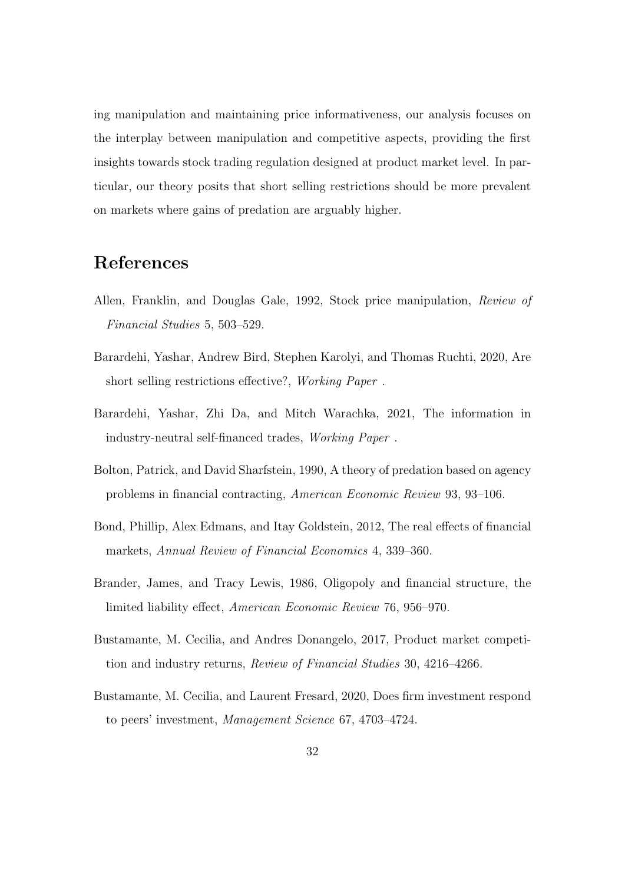ing manipulation and maintaining price informativeness, our analysis focuses on the interplay between manipulation and competitive aspects, providing the first insights towards stock trading regulation designed at product market level. In particular, our theory posits that short selling restrictions should be more prevalent on markets where gains of predation are arguably higher.

# References

- <span id="page-32-1"></span>Allen, Franklin, and Douglas Gale, 1992, Stock price manipulation, Review of Financial Studies 5, 503–529.
- <span id="page-32-7"></span>Barardehi, Yashar, Andrew Bird, Stephen Karolyi, and Thomas Ruchti, 2020, Are short selling restrictions effective?, Working Paper .
- <span id="page-32-2"></span>Barardehi, Yashar, Zhi Da, and Mitch Warachka, 2021, The information in industry-neutral self-financed trades, Working Paper .
- <span id="page-32-4"></span>Bolton, Patrick, and David Sharfstein, 1990, A theory of predation based on agency problems in financial contracting, American Economic Review 93, 93–106.
- <span id="page-32-0"></span>Bond, Phillip, Alex Edmans, and Itay Goldstein, 2012, The real effects of financial markets, Annual Review of Financial Economics 4, 339–360.
- <span id="page-32-3"></span>Brander, James, and Tracy Lewis, 1986, Oligopoly and financial structure, the limited liability effect, American Economic Review 76, 956–970.
- <span id="page-32-5"></span>Bustamante, M. Cecilia, and Andres Donangelo, 2017, Product market competition and industry returns, Review of Financial Studies 30, 4216–4266.
- <span id="page-32-6"></span>Bustamante, M. Cecilia, and Laurent Fresard, 2020, Does firm investment respond to peers' investment, Management Science 67, 4703–4724.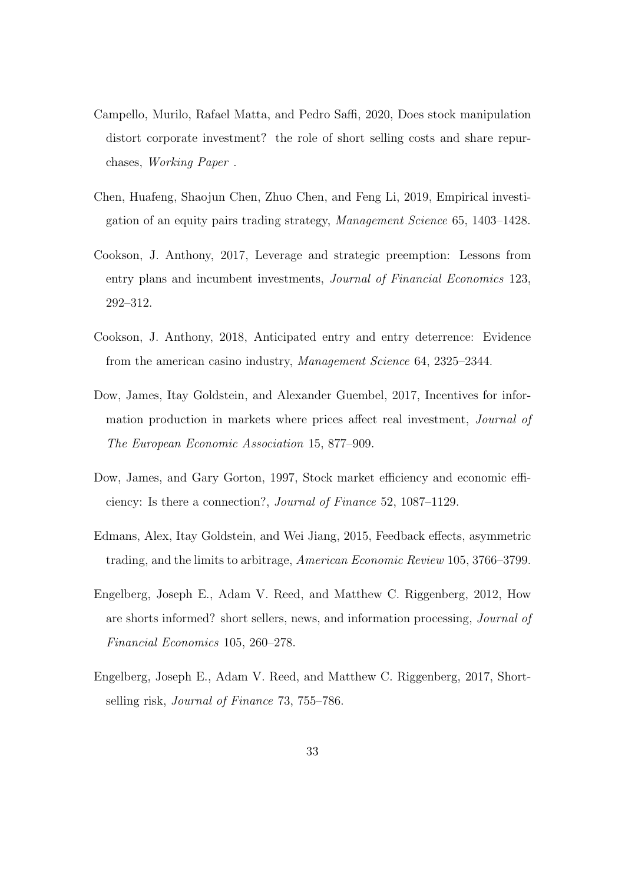- <span id="page-33-3"></span>Campello, Murilo, Rafael Matta, and Pedro Saffi, 2020, Does stock manipulation distort corporate investment? the role of short selling costs and share repurchases, Working Paper .
- <span id="page-33-5"></span>Chen, Huafeng, Shaojun Chen, Zhuo Chen, and Feng Li, 2019, Empirical investigation of an equity pairs trading strategy, Management Science 65, 1403–1428.
- <span id="page-33-6"></span>Cookson, J. Anthony, 2017, Leverage and strategic preemption: Lessons from entry plans and incumbent investments, Journal of Financial Economics 123, 292–312.
- <span id="page-33-7"></span>Cookson, J. Anthony, 2018, Anticipated entry and entry deterrence: Evidence from the american casino industry, Management Science 64, 2325–2344.
- <span id="page-33-2"></span>Dow, James, Itay Goldstein, and Alexander Guembel, 2017, Incentives for information production in markets where prices affect real investment, *Journal of* The European Economic Association 15, 877–909.
- <span id="page-33-1"></span>Dow, James, and Gary Gorton, 1997, Stock market efficiency and economic efficiency: Is there a connection?, Journal of Finance 52, 1087–1129.
- <span id="page-33-4"></span>Edmans, Alex, Itay Goldstein, and Wei Jiang, 2015, Feedback effects, asymmetric trading, and the limits to arbitrage, American Economic Review 105, 3766–3799.
- <span id="page-33-0"></span>Engelberg, Joseph E., Adam V. Reed, and Matthew C. Riggenberg, 2012, How are shorts informed? short sellers, news, and information processing, Journal of Financial Economics 105, 260–278.
- <span id="page-33-8"></span>Engelberg, Joseph E., Adam V. Reed, and Matthew C. Riggenberg, 2017, Shortselling risk, Journal of Finance 73, 755–786.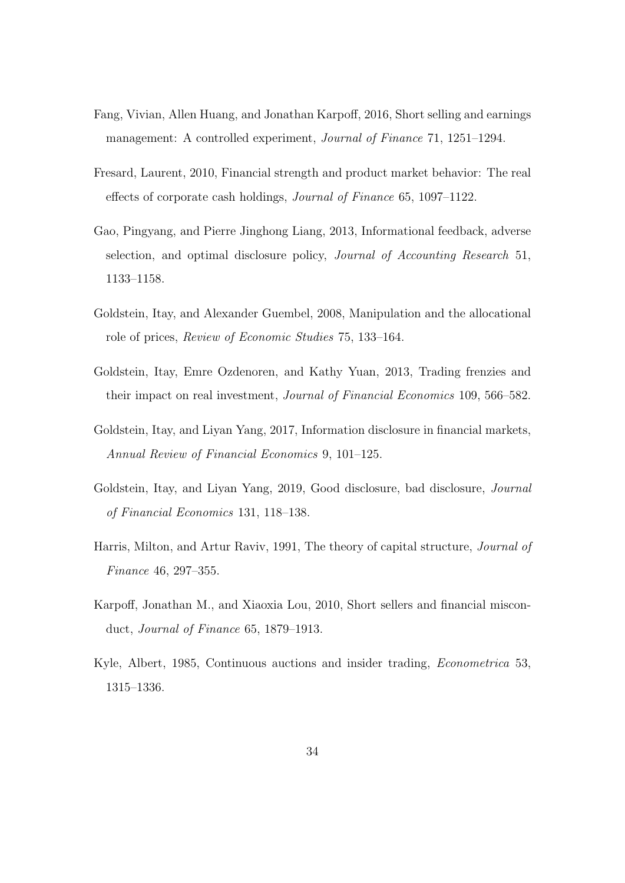- <span id="page-34-8"></span>Fang, Vivian, Allen Huang, and Jonathan Karpoff, 2016, Short selling and earnings management: A controlled experiment, Journal of Finance 71, 1251–1294.
- <span id="page-34-6"></span>Fresard, Laurent, 2010, Financial strength and product market behavior: The real effects of corporate cash holdings, Journal of Finance 65, 1097–1122.
- <span id="page-34-2"></span>Gao, Pingyang, and Pierre Jinghong Liang, 2013, Informational feedback, adverse selection, and optimal disclosure policy, Journal of Accounting Research 51, 1133–1158.
- <span id="page-34-0"></span>Goldstein, Itay, and Alexander Guembel, 2008, Manipulation and the allocational role of prices, Review of Economic Studies 75, 133–164.
- <span id="page-34-1"></span>Goldstein, Itay, Emre Ozdenoren, and Kathy Yuan, 2013, Trading frenzies and their impact on real investment, Journal of Financial Economics 109, 566–582.
- <span id="page-34-3"></span>Goldstein, Itay, and Liyan Yang, 2017, Information disclosure in financial markets, Annual Review of Financial Economics 9, 101–125.
- <span id="page-34-4"></span>Goldstein, Itay, and Liyan Yang, 2019, Good disclosure, bad disclosure, Journal of Financial Economics 131, 118–138.
- <span id="page-34-5"></span>Harris, Milton, and Artur Raviv, 1991, The theory of capital structure, Journal of Finance 46, 297–355.
- <span id="page-34-7"></span>Karpoff, Jonathan M., and Xiaoxia Lou, 2010, Short sellers and financial misconduct, Journal of Finance 65, 1879–1913.
- <span id="page-34-9"></span>Kyle, Albert, 1985, Continuous auctions and insider trading, Econometrica 53, 1315–1336.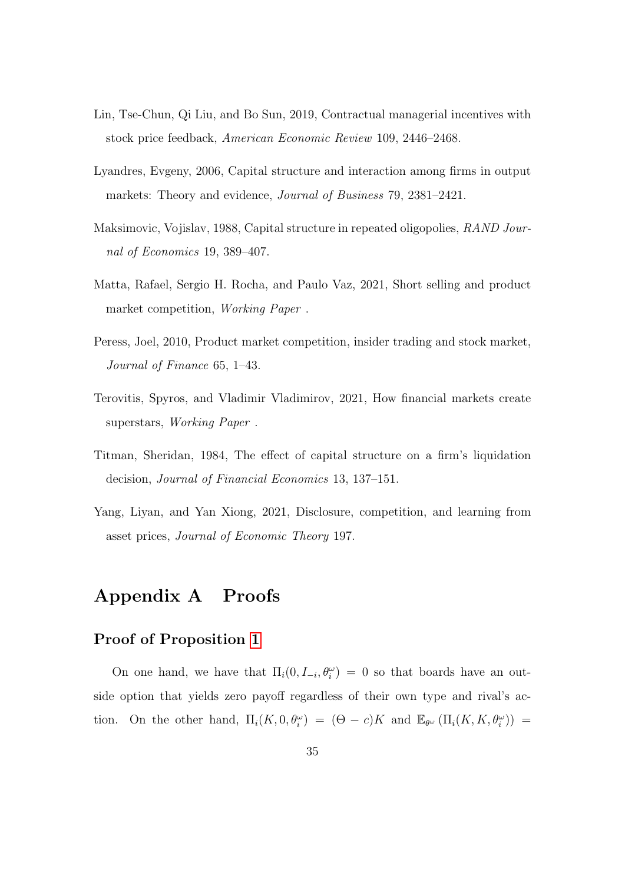- <span id="page-35-7"></span>Lin, Tse-Chun, Qi Liu, and Bo Sun, 2019, Contractual managerial incentives with stock price feedback, American Economic Review 109, 2446–2468.
- <span id="page-35-4"></span>Lyandres, Evgeny, 2006, Capital structure and interaction among firms in output markets: Theory and evidence, Journal of Business 79, 2381–2421.
- <span id="page-35-3"></span>Maksimovic, Vojislav, 1988, Capital structure in repeated oligopolies, RAND Journal of Economics 19, 389–407.
- <span id="page-35-6"></span>Matta, Rafael, Sergio H. Rocha, and Paulo Vaz, 2021, Short selling and product market competition, Working Paper .
- <span id="page-35-5"></span>Peress, Joel, 2010, Product market competition, insider trading and stock market, Journal of Finance 65, 1–43.
- <span id="page-35-1"></span>Terovitis, Spyros, and Vladimir Vladimirov, 2021, How financial markets create superstars, Working Paper .
- <span id="page-35-2"></span>Titman, Sheridan, 1984, The effect of capital structure on a firm's liquidation decision, Journal of Financial Economics 13, 137–151.
- <span id="page-35-0"></span>Yang, Liyan, and Yan Xiong, 2021, Disclosure, competition, and learning from asset prices, Journal of Economic Theory 197.

# Appendix A Proofs

### Proof of Proposition [1](#page-9-0)

On one hand, we have that  $\Pi_i(0, I_{-i}, \theta_i^{\omega}) = 0$  so that boards have an outside option that yields zero payoff regardless of their own type and rival's action. On the other hand,  $\Pi_i(K, 0, \theta_i^{\omega}) = (\Theta - c)K$  and  $\mathbb{E}_{\theta^{\omega}}(\Pi_i(K, K, \theta_i^{\omega})) =$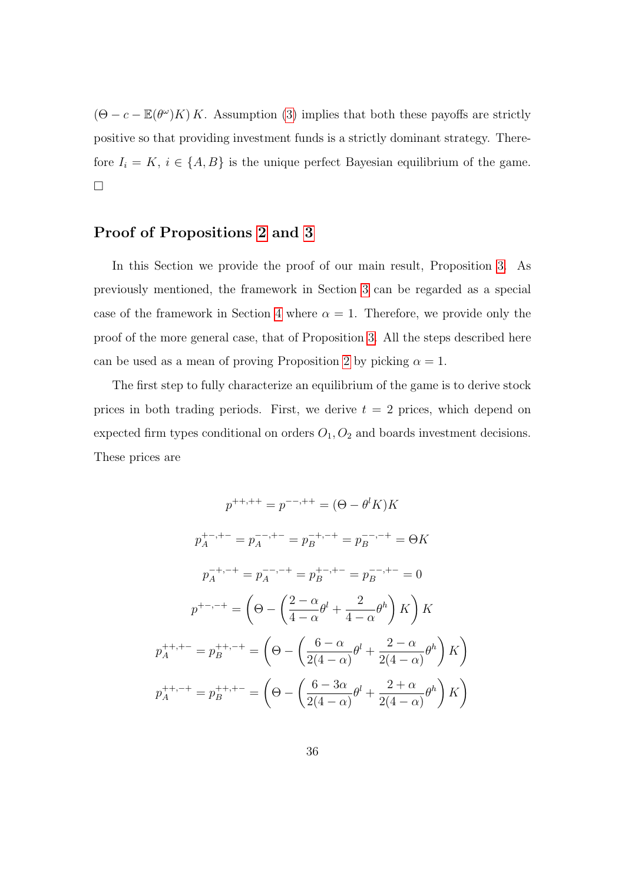$(\Theta - c - \mathbb{E}(\theta^{\omega})K) K$ . Assumption [\(3\)](#page-8-0) implies that both these payoffs are strictly positive so that providing investment funds is a strictly dominant strategy. Therefore  $I_i = K$ ,  $i \in \{A, B\}$  is the unique perfect Bayesian equilibrium of the game. □

## Proof of Propositions [2](#page-18-2) and [3](#page-24-3)

In this Section we provide the proof of our main result, Proposition [3.](#page-24-3) As previously mentioned, the framework in Section [3](#page-10-0) can be regarded as a special case of the framework in Section [4](#page-22-0) where  $\alpha = 1$ . Therefore, we provide only the proof of the more general case, that of Proposition [3.](#page-24-3) All the steps described here can be used as a mean of proving Proposition [2](#page-18-2) by picking  $\alpha = 1$ .

The first step to fully characterize an equilibrium of the game is to derive stock prices in both trading periods. First, we derive  $t = 2$  prices, which depend on expected firm types conditional on orders  $O_1$ ,  $O_2$  and boards investment decisions. These prices are

$$
p^{++,++} = p^{--,++} = (\Theta - \theta^l K)K
$$
  
\n
$$
p_A^{+-,+-} = p_A^{--,+-} = p_B^{-+,-+} = p_B^{--,-+} = \Theta K
$$
  
\n
$$
p_A^{-+,-+} = p_A^{--,-+} = p_B^{+-,+-} = p_B^{--,+-} = 0
$$
  
\n
$$
p^{+-,-+} = \left(\Theta - \left(\frac{2-\alpha}{4-\alpha}\theta^l + \frac{2}{4-\alpha}\theta^h\right)K\right)K
$$
  
\n
$$
p_A^{++,+-} = p_B^{++,-+} = \left(\Theta - \left(\frac{6-\alpha}{2(4-\alpha)}\theta^l + \frac{2-\alpha}{2(4-\alpha)}\theta^h\right)K\right)
$$
  
\n
$$
p_A^{++,++} = p_B^{++,+-} = \left(\Theta - \left(\frac{6-3\alpha}{2(4-\alpha)}\theta^l + \frac{2+\alpha}{2(4-\alpha)}\theta^h\right)K\right)
$$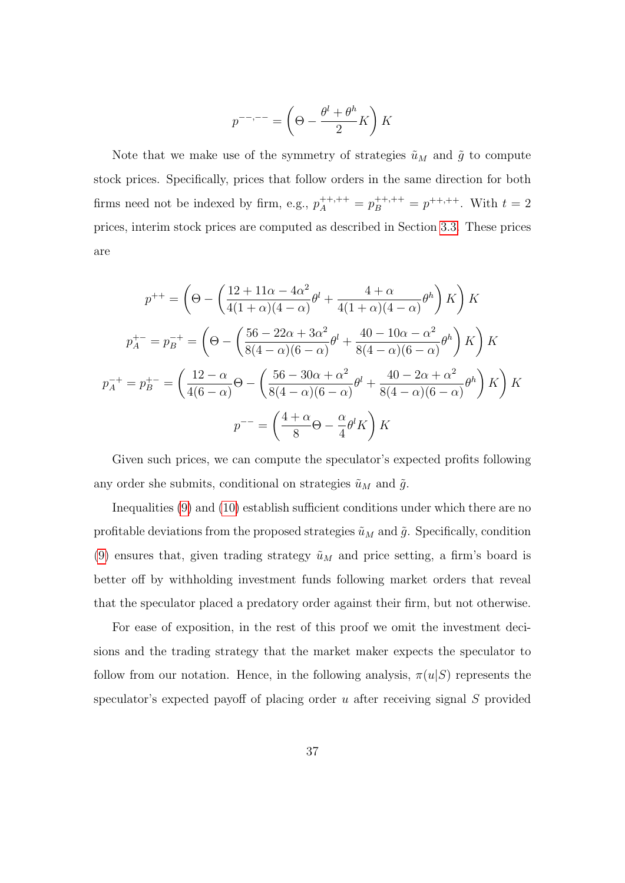$$
p^{---,-} = \left(\Theta - \frac{\theta^l + \theta^h}{2}K\right)K
$$

Note that we make use of the symmetry of strategies  $\tilde{u}_M$  and  $\tilde{g}$  to compute stock prices. Specifically, prices that follow orders in the same direction for both firms need not be indexed by firm, e.g.,  $p_A^{+,++} = p_B^{+,++} = p^{+,+,+}$ . With  $t = 2$ prices, interim stock prices are computed as described in Section [3.3.](#page-14-0) These prices are

$$
p^{++} = \left(\Theta - \left(\frac{12 + 11\alpha - 4\alpha^2}{4(1 + \alpha)(4 - \alpha)}\theta^l + \frac{4 + \alpha}{4(1 + \alpha)(4 - \alpha)}\theta^h\right)K\right)K
$$

$$
p_A^{+-} = p_B^{-+} = \left(\Theta - \left(\frac{56 - 22\alpha + 3\alpha^2}{8(4 - \alpha)(6 - \alpha)}\theta^l + \frac{40 - 10\alpha - \alpha^2}{8(4 - \alpha)(6 - \alpha)}\theta^h\right)K\right)K
$$

$$
p_A^{-+} = p_B^{+-} = \left(\frac{12 - \alpha}{4(6 - \alpha)}\Theta - \left(\frac{56 - 30\alpha + \alpha^2}{8(4 - \alpha)(6 - \alpha)}\theta^l + \frac{40 - 2\alpha + \alpha^2}{8(4 - \alpha)(6 - \alpha)}\theta^h\right)K\right)K
$$

$$
p^{--} = \left(\frac{4 + \alpha}{8}\Theta - \frac{\alpha}{4}\theta^lK\right)K
$$

Given such prices, we can compute the speculator's expected profits following any order she submits, conditional on strategies  $\tilde{u}_M$  and  $\tilde{g}$ .

Inequalities [\(9\)](#page-24-0) and [\(10\)](#page-24-1) establish sufficient conditions under which there are no profitable deviations from the proposed strategies  $\tilde{u}_M$  and  $\tilde{g}$ . Specifically, condition [\(9\)](#page-24-0) ensures that, given trading strategy  $\tilde{u}_M$  and price setting, a firm's board is better off by withholding investment funds following market orders that reveal that the speculator placed a predatory order against their firm, but not otherwise.

For ease of exposition, in the rest of this proof we omit the investment decisions and the trading strategy that the market maker expects the speculator to follow from our notation. Hence, in the following analysis,  $\pi(u|S)$  represents the speculator's expected payoff of placing order u after receiving signal  $S$  provided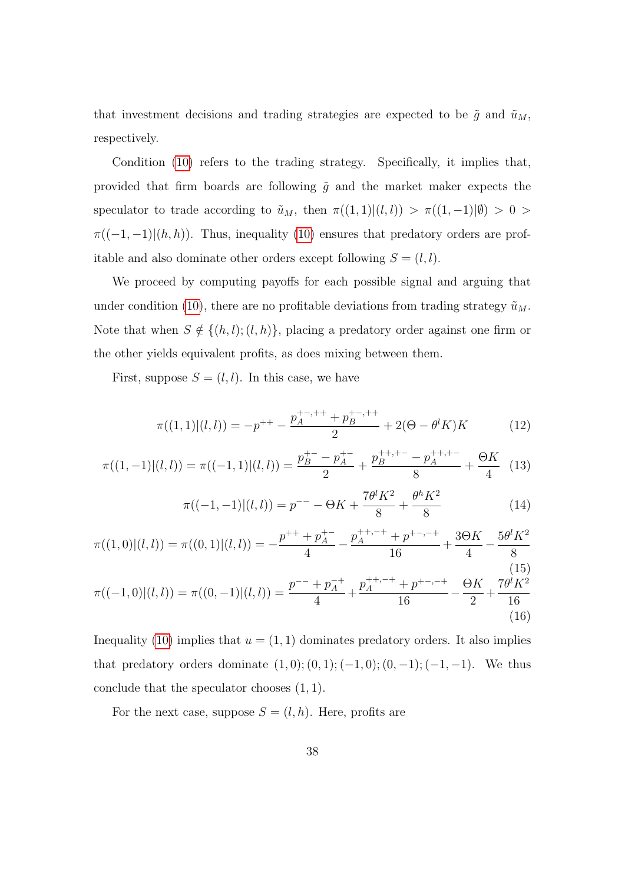that investment decisions and trading strategies are expected to be  $\tilde{g}$  and  $\tilde{u}_M$ , respectively.

Condition [\(10\)](#page-24-1) refers to the trading strategy. Specifically, it implies that, provided that firm boards are following  $\tilde{g}$  and the market maker expects the speculator to trade according to  $\tilde{u}_M$ , then  $\pi((1,1)|(l,l)) > \pi((1,-1)|\emptyset) > 0 >$  $\pi((-1,-1)|(h,h))$ . Thus, inequality [\(10\)](#page-24-1) ensures that predatory orders are profitable and also dominate other orders except following  $S = (l, l)$ .

We proceed by computing payoffs for each possible signal and arguing that under condition [\(10\)](#page-24-1), there are no profitable deviations from trading strategy  $\tilde{u}_M$ . Note that when  $S \notin \{(h, l); (l, h)\}\$ , placing a predatory order against one firm or the other yields equivalent profits, as does mixing between them.

First, suppose  $S = (l, l)$ . In this case, we have

$$
\pi((1,1)|(l,l)) = -p^{++} - \frac{p_A^{+-,++} + p_B^{+-,++}}{2} + 2(\Theta - \theta^l K)K
$$
\n(12)

<span id="page-38-0"></span>
$$
\pi((1,-1)|(l,l)) = \pi((-1,1)|(l,l)) = \frac{p_B^{+-} - p_A^{+-}}{2} + \frac{p_B^{++,+-} - p_A^{++,+-}}{8} + \frac{\Theta K}{4} \tag{13}
$$

$$
\pi((-1,-1)|(l,l)) = p^{--} - \Theta K + \frac{7\theta^l K^2}{8} + \frac{\theta^h K^2}{8}
$$
\n(14)

$$
\pi((1,0)|(l,l)) = \pi((0,1)|(l,l)) = -\frac{p^{++} + p_A^{+-}}{4} - \frac{p_A^{++,-+} + p^{+-,-+}}{16} + \frac{3\Theta K}{4} - \frac{5\theta^l K^2}{8}
$$
\n
$$
\pi((-1,0)|(l,l)) = \pi((0,-1)|(l,l)) = \frac{p^{--} + p_A^{-+}}{4} + \frac{p_A^{++,-+} + p^{+-,-+}}{16} - \frac{\Theta K}{2} + \frac{7\theta^l K^2}{16}
$$

$$
\pi((-1,0)|(l,l)) = \pi((0,-1)|(l,l)) = \frac{P - \frac{P}{4} + \frac{P}{4}}{16} + \frac{P}{16} - \frac{3}{2} + \frac{3}{16} + \frac{5}{16}
$$
\n(16)

Inequality [\(10\)](#page-24-1) implies that  $u = (1, 1)$  dominates predatory orders. It also implies that predatory orders dominate  $(1, 0)$ ;  $(0, 1)$ ;  $(-1, 0)$ ;  $(0, -1)$ ;  $(-1, -1)$ . We thus conclude that the speculator chooses (1, 1).

For the next case, suppose  $S = (l, h)$ . Here, profits are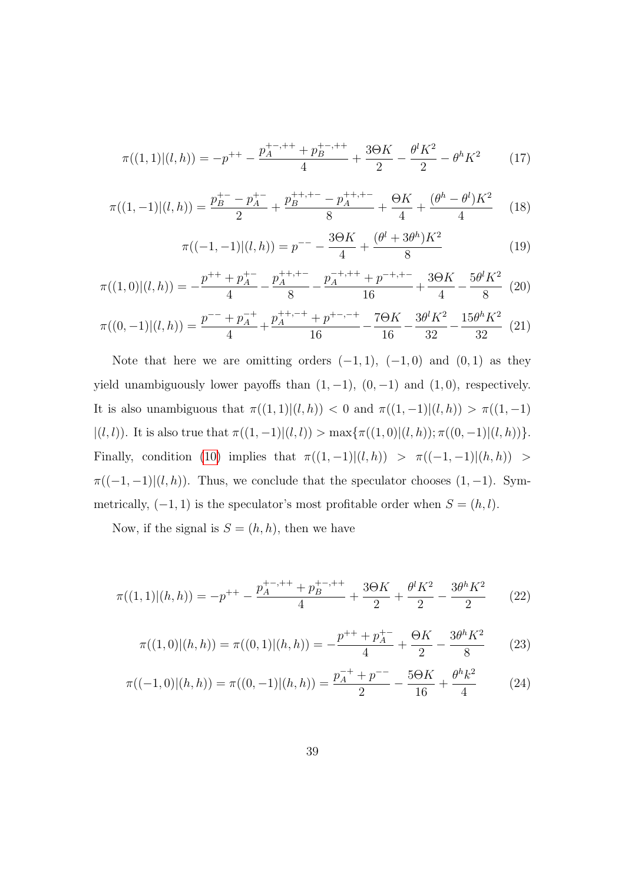$$
\pi((1,1)|(l,h)) = -p^{++} - \frac{p_A^{+-,++} + p_B^{+-,++}}{4} + \frac{3\Theta K}{2} - \frac{\theta^l K^2}{2} - \theta^h K^2 \tag{17}
$$

$$
\pi((1,-1)|(l,h)) = \frac{p_B^{+-} - p_A^{+-}}{2} + \frac{p_B^{++,+-} - p_A^{++,+-}}{8} + \frac{\Theta K}{4} + \frac{(\theta^h - \theta^l)K^2}{4} \tag{18}
$$

$$
\pi((-1,-1)|(l,h)) = p^{--} - \frac{3\Theta K}{4} + \frac{(\theta^l + 3\theta^h)K^2}{8} \tag{19}
$$

$$
\pi((1,0)|(l,h)) = -\frac{p^{++} + p_A^{+-}}{4} - \frac{p_A^{++,+}}{8} - \frac{p_A^{-+,++} + p^{-+,+-}}{16} + \frac{3\Theta K}{4} - \frac{5\theta^l K^2}{8} \tag{20}
$$

$$
\pi((0,-1)|(l,h)) = \frac{p^{--} + p_A^{-+}}{4} + \frac{p_A^{++,-+} + p^{+-,-+}}{16} - \frac{7\Theta K}{16} - \frac{3\theta^l K^2}{32} - \frac{15\theta^h K^2}{32} \tag{21}
$$

Note that here we are omitting orders  $(-1, 1)$ ,  $(-1, 0)$  and  $(0, 1)$  as they yield unambiguously lower payoffs than  $(1, -1)$ ,  $(0, -1)$  and  $(1, 0)$ , respectively. It is also unambiguous that  $\pi((1,1)|(l, h)) < 0$  and  $\pi((1, -1)|(l, h)) > \pi((1, -1))$  $|(l, l)$ ). It is also true that  $\pi((1, -1)|(l, l)) > \max{\pi((1, 0)|(l, h))}; \pi((0, -1)|(l, h))$ . Finally, condition [\(10\)](#page-24-1) implies that  $\pi((1,-1)|(l, h)) > \pi((-1,-1)|(h, h)) >$  $\pi((-1,-1)|(l,h))$ . Thus, we conclude that the speculator chooses  $(1,-1)$ . Symmetrically,  $(-1, 1)$  is the speculator's most profitable order when  $S = (h, l)$ .

Now, if the signal is  $S = (h, h)$ , then we have

$$
\pi((1,1)|(h,h)) = -p^{++} - \frac{p_A^{+-,++} + p_B^{+-,++}}{4} + \frac{3\Theta K}{2} + \frac{\theta^l K^2}{2} - \frac{3\theta^h K^2}{2} \tag{22}
$$

$$
\pi((1,0)|(h,h)) = \pi((0,1)|(h,h)) = -\frac{p^{++} + p_A^{+-}}{4} + \frac{\Theta K}{2} - \frac{3\theta^h K^2}{8} \tag{23}
$$

$$
\pi((-1,0)|(h,h)) = \pi((0,-1)|(h,h)) = \frac{p_A^{-+} + p^{--}}{2} - \frac{5\Theta K}{16} + \frac{\theta^h k^2}{4} \tag{24}
$$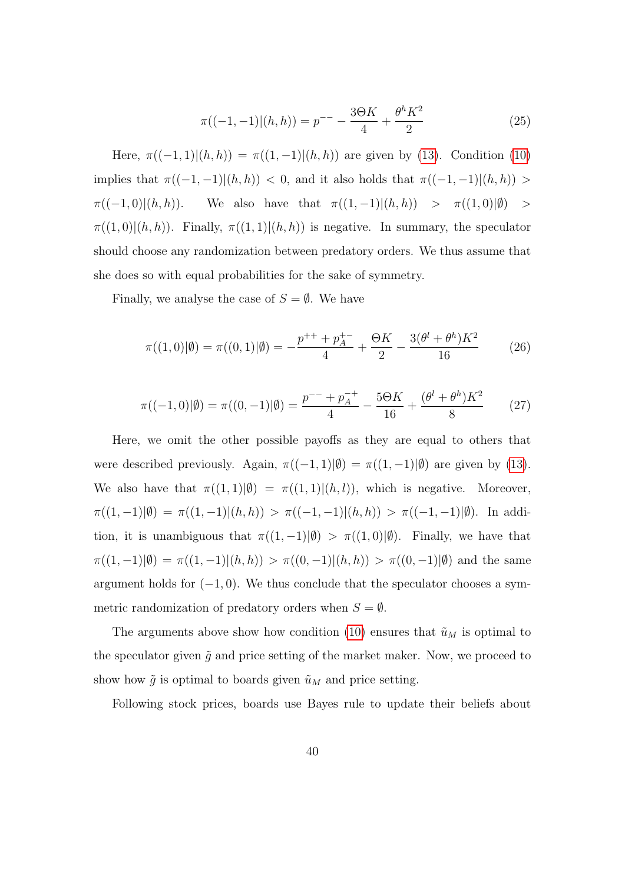$$
\pi((-1,-1)|(h,h)) = p^{-2} - \frac{3\Theta K}{4} + \frac{\theta^h K^2}{2}
$$
 (25)

Here,  $\pi((-1, 1)|(h, h)) = \pi((1, -1)|(h, h))$  are given by [\(13\)](#page-38-0). Condition [\(10\)](#page-24-1) implies that  $\pi((-1,-1)|(h,h)) < 0$ , and it also holds that  $\pi((-1,-1)|(h,h)) >$  $\pi((-1,0)|(h, h)).$  We also have that  $\pi((1,-1)|(h, h)) > \pi((1,0)|\emptyset)$  $\pi((1,0)|(h, h))$ . Finally,  $\pi((1,1)|(h, h))$  is negative. In summary, the speculator should choose any randomization between predatory orders. We thus assume that she does so with equal probabilities for the sake of symmetry.

Finally, we analyse the case of  $S = \emptyset$ . We have

$$
\pi((1,0)|\emptyset) = \pi((0,1)|\emptyset) = -\frac{p^{++} + p_A^{+-}}{4} + \frac{\Theta K}{2} - \frac{3(\theta^l + \theta^h)K^2}{16} \tag{26}
$$

$$
\pi((-1,0)|\emptyset) = \pi((0,-1)|\emptyset) = \frac{p^{--} + p_A^{-+}}{4} - \frac{5\Theta K}{16} + \frac{(\theta^l + \theta^h)K^2}{8} \tag{27}
$$

Here, we omit the other possible payoffs as they are equal to others that were described previously. Again,  $\pi((-1, 1)|\emptyset) = \pi((1, -1)|\emptyset)$  are given by [\(13\)](#page-38-0). We also have that  $\pi((1,1)|\emptyset) = \pi((1,1)|(h,l)),$  which is negative. Moreover,  $\pi((1,-1)|\emptyset) = \pi((1,-1)|(h,h)) > \pi((-1,-1)|(h,h)) > \pi((-1,-1)|\emptyset)$ . In addition, it is unambiguous that  $\pi((1,-1)|\emptyset) > \pi((1,0)|\emptyset)$ . Finally, we have that  $\pi((1,-1)|\emptyset) = \pi((1,-1)|(h,h)) > \pi((0,-1)|(h,h)) > \pi((0,-1)|\emptyset)$  and the same argument holds for  $(-1, 0)$ . We thus conclude that the speculator chooses a symmetric randomization of predatory orders when  $S = \emptyset$ .

The arguments above show how condition [\(10\)](#page-24-1) ensures that  $\tilde{u}_M$  is optimal to the speculator given  $\tilde{q}$  and price setting of the market maker. Now, we proceed to show how  $\tilde{g}$  is optimal to boards given  $\tilde{u}_M$  and price setting.

Following stock prices, boards use Bayes rule to update their beliefs about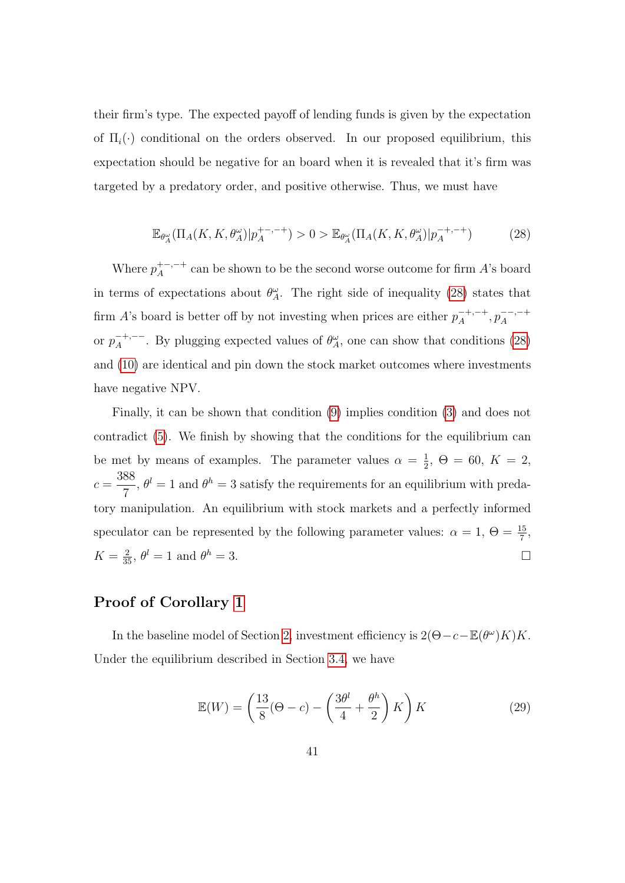their firm's type. The expected payoff of lending funds is given by the expectation of  $\Pi_i(\cdot)$  conditional on the orders observed. In our proposed equilibrium, this expectation should be negative for an board when it is revealed that it's firm was targeted by a predatory order, and positive otherwise. Thus, we must have

<span id="page-41-0"></span>
$$
\mathbb{E}_{\theta_A^{\omega}}(\Pi_A(K, K, \theta_A^{\omega})| p_A^{+,-,+}) > 0 > \mathbb{E}_{\theta_A^{\omega}}(\Pi_A(K, K, \theta_A^{\omega})| p_A^{-+,-+})
$$
(28)

Where  $p_A^{+-,-+}$  $A^{+,-+}_{A}$  can be shown to be the second worse outcome for firm A's board in terms of expectations about  $\theta_{A}^{\omega}$ . The right side of inequality [\(28\)](#page-41-0) states that firm A's board is better off by not investing when prices are either  $p_A^{-+,-+}$  $p_A^{-+, -+}, p_A^{---,-+}$ A or  $p_A^{-+,--}$  $A^{+,--}$ . By plugging expected values of  $\theta^{\omega}_A$ , one can show that conditions [\(28\)](#page-41-0) and [\(10\)](#page-24-1) are identical and pin down the stock market outcomes where investments have negative NPV.

Finally, it can be shown that condition [\(9\)](#page-24-0) implies condition [\(3\)](#page-8-0) and does not contradict [\(5\)](#page-10-1). We finish by showing that the conditions for the equilibrium can be met by means of examples. The parameter values  $\alpha = \frac{1}{2}$  $\frac{1}{2}$ ,  $\Theta = 60$ ,  $K = 2$ ,  $c =$ 388 7 ,  $\theta^l = 1$  and  $\theta^h = 3$  satisfy the requirements for an equilibrium with predatory manipulation. An equilibrium with stock markets and a perfectly informed speculator can be represented by the following parameter values:  $\alpha = 1, \Theta = \frac{15}{7}$ ,  $K=\frac{2}{35}, \theta^l=1$  and  $\theta$  $h = 3.$ 

## Proof of Corollary [1](#page-20-0)

In the baseline model of Section [2,](#page-7-0) investment efficiency is  $2(\Theta - c - \mathbb{E}(\theta^{\omega})K)K$ . Under the equilibrium described in Section [3.4,](#page-15-0) we have

<span id="page-41-1"></span>
$$
\mathbb{E}(W) = \left(\frac{13}{8}(\Theta - c) - \left(\frac{3\theta^l}{4} + \frac{\theta^h}{2}\right)K\right)K\tag{29}
$$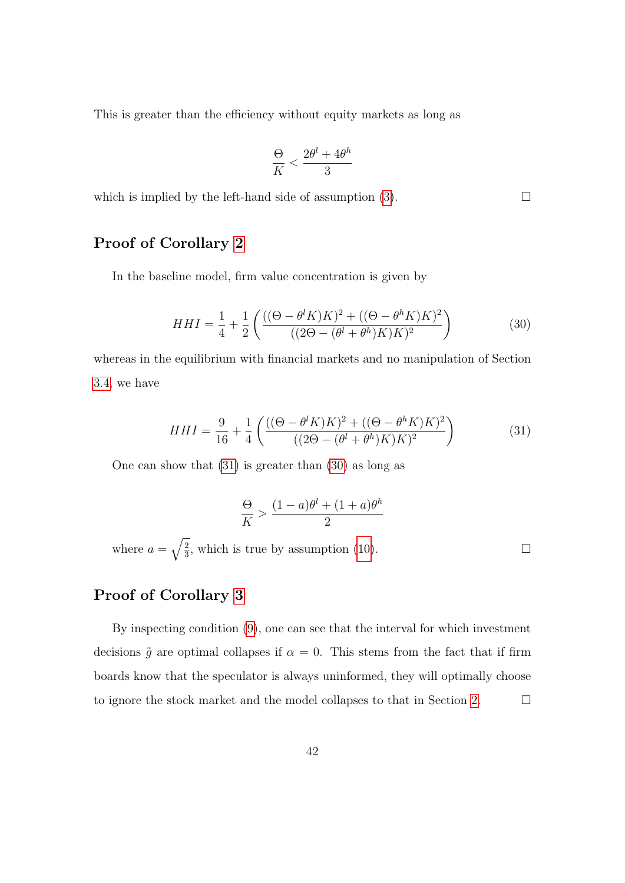This is greater than the efficiency without equity markets as long as

$$
\frac{\Theta}{K} < \frac{2\theta^l + 4\theta^h}{3}
$$

which is implied by the left-hand side of assumption  $(3)$ .  $\Box$ 

## Proof of Corollary [2](#page-21-0)

In the baseline model, firm value concentration is given by

<span id="page-42-1"></span>
$$
HHI = \frac{1}{4} + \frac{1}{2} \left( \frac{((\Theta - \theta^l K)K)^2 + ((\Theta - \theta^h K)K)^2}{((2\Theta - (\theta^l + \theta^h)K)K)^2} \right)
$$
(30)

whereas in the equilibrium with financial markets and no manipulation of Section [3.4,](#page-15-0) we have

<span id="page-42-0"></span>
$$
HHI = \frac{9}{16} + \frac{1}{4} \left( \frac{((\Theta - \theta^l K)K)^2 + ((\Theta - \theta^h K)K)^2}{((2\Theta - (\theta^l + \theta^h)K)K)^2} \right)
$$
(31)

One can show that [\(31\)](#page-42-0) is greater than [\(30\)](#page-42-1) as long as

$$
\frac{\Theta}{K} > \frac{(1-a)\theta^l + (1+a)\theta^h}{2}
$$

where  $a=\sqrt{\frac{2}{3}}$  $\frac{2}{3}$ , which is true by assumption [\(10\)](#page-24-1).

## Proof of Corollary [3](#page-24-2)

By inspecting condition [\(9\)](#page-24-0), one can see that the interval for which investment decisions  $\tilde{g}$  are optimal collapses if  $\alpha = 0$ . This stems from the fact that if firm boards know that the speculator is always uninformed, they will optimally choose to ignore the stock market and the model collapses to that in Section [2.](#page-7-0)  $\Box$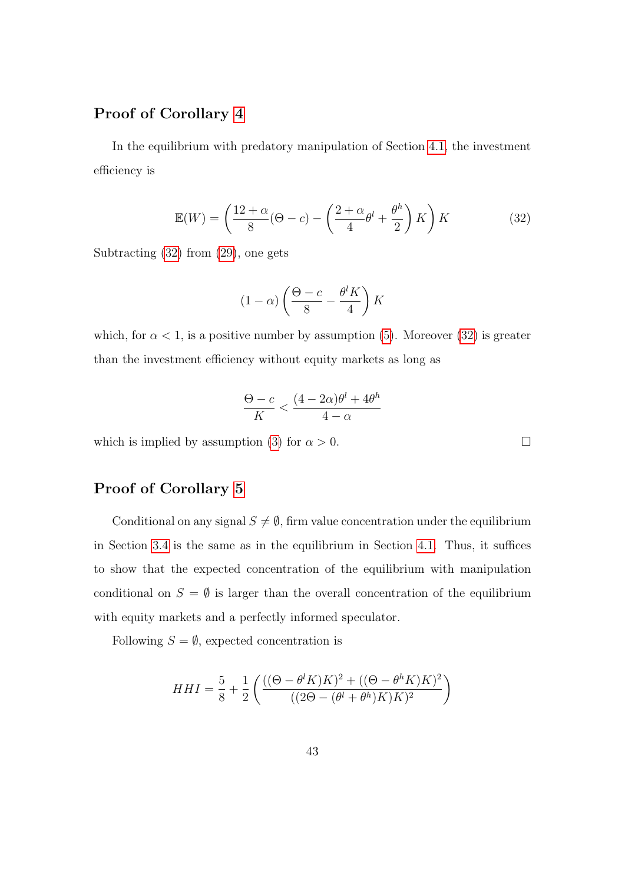# Proof of Corollary [4](#page-25-1)

In the equilibrium with predatory manipulation of Section [4.1,](#page-23-0) the investment efficiency is

<span id="page-43-0"></span>
$$
\mathbb{E}(W) = \left(\frac{12+\alpha}{8}(\Theta - c) - \left(\frac{2+\alpha}{4}\theta^l + \frac{\theta^h}{2}\right)K\right)K\tag{32}
$$

Subtracting [\(32\)](#page-43-0) from [\(29\)](#page-41-1), one gets

$$
(1 - \alpha) \left(\frac{\Theta - c}{8} - \frac{\theta^l K}{4}\right) K
$$

which, for  $\alpha < 1$ , is a positive number by assumption [\(5\)](#page-10-1). Moreover [\(32\)](#page-43-0) is greater than the investment efficiency without equity markets as long as

$$
\frac{\Theta - c}{K} < \frac{(4 - 2\alpha)\theta^l + 4\theta^h}{4 - \alpha}
$$

which is implied by assumption [\(3\)](#page-8-0) for  $\alpha > 0$ .

## Proof of Corollary [5](#page-26-0)

Conditional on any signal  $S \neq \emptyset$ , firm value concentration under the equilibrium in Section [3.4](#page-15-0) is the same as in the equilibrium in Section [4.1.](#page-23-0) Thus, it suffices to show that the expected concentration of the equilibrium with manipulation conditional on  $S = \emptyset$  is larger than the overall concentration of the equilibrium with equity markets and a perfectly informed speculator.

Following  $S = \emptyset$ , expected concentration is

$$
HHI = \frac{5}{8} + \frac{1}{2} \left( \frac{((\Theta - \theta^l K)K)^2 + ((\Theta - \theta^h K)K)^2}{((2\Theta - (\theta^l + \theta^h)K)K)^2} \right)
$$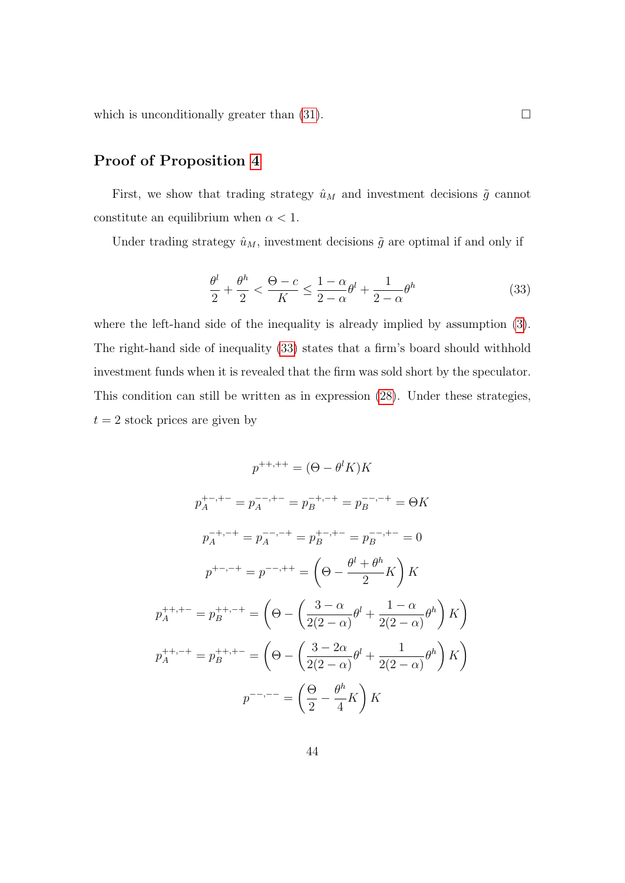which is unconditionally greater than  $(31)$ .  $\Box$ 

# Proof of Proposition [4](#page-30-0)

First, we show that trading strategy  $\hat{u}_M$  and investment decisions  $\tilde{g}$  cannot constitute an equilibrium when  $\alpha < 1$ .

Under trading strategy  $\hat{u}_M$ , investment decisions  $\tilde{g}$  are optimal if and only if

<span id="page-44-0"></span>
$$
\frac{\theta^l}{2} + \frac{\theta^h}{2} < \frac{\Theta - c}{K} \le \frac{1 - \alpha}{2 - \alpha} \theta^l + \frac{1}{2 - \alpha} \theta^h \tag{33}
$$

where the left-hand side of the inequality is already implied by assumption [\(3\)](#page-8-0). The right-hand side of inequality [\(33\)](#page-44-0) states that a firm's board should withhold investment funds when it is revealed that the firm was sold short by the speculator. This condition can still be written as in expression [\(28\)](#page-41-0). Under these strategies,  $t = 2$  stock prices are given by

$$
p^{++,++} = (\Theta - \theta^l K)K
$$
  
\n
$$
p_A^{+-,+-} = p_A^{--,+-} = p_B^{-+,-+} = p_B^{--,-+} = \Theta K
$$
  
\n
$$
p_A^{-+,-+} = p_A^{--,-+} = p_B^{+-,+-} = p_B^{--,+-} = 0
$$
  
\n
$$
p^{+-,-+} = p^{--,++} = \left(\Theta - \frac{\theta^l + \theta^h}{2}K\right)K
$$
  
\n
$$
p_A^{++,+-} = p_B^{++,-+} = \left(\Theta - \left(\frac{3-\alpha}{2(2-\alpha)}\theta^l + \frac{1-\alpha}{2(2-\alpha)}\theta^h\right)K\right)
$$
  
\n
$$
p_A^{++,-+} = p_B^{++,+-} = \left(\Theta - \left(\frac{3-2\alpha}{2(2-\alpha)}\theta^l + \frac{1}{2(2-\alpha)}\theta^h\right)K\right)
$$
  
\n
$$
p^{--,--} = \left(\frac{\Theta}{2} - \frac{\theta^h}{4}K\right)K
$$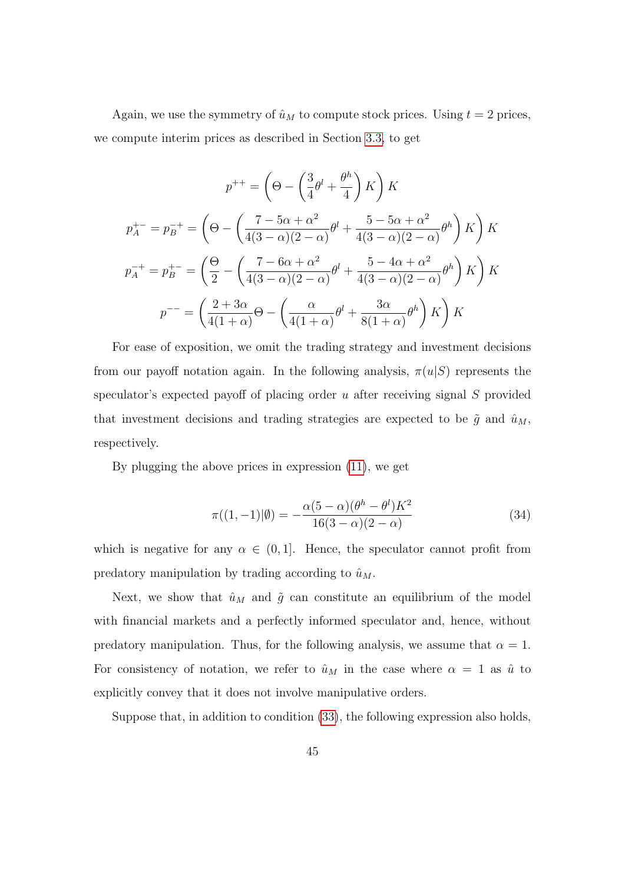Again, we use the symmetry of  $\hat{u}_M$  to compute stock prices. Using  $t = 2$  prices, we compute interim prices as described in Section [3.3,](#page-14-0) to get

$$
p^{++} = \left(\Theta - \left(\frac{3}{4}\theta^l + \frac{\theta^h}{4}\right)K\right)K
$$

$$
p_A^{+-} = p_B^{-+} = \left(\Theta - \left(\frac{7 - 5\alpha + \alpha^2}{4(3 - \alpha)(2 - \alpha)}\theta^l + \frac{5 - 5\alpha + \alpha^2}{4(3 - \alpha)(2 - \alpha)}\theta^h\right)K\right)K
$$

$$
p_A^{-+} = p_B^{+-} = \left(\frac{\Theta}{2} - \left(\frac{7 - 6\alpha + \alpha^2}{4(3 - \alpha)(2 - \alpha)}\theta^l + \frac{5 - 4\alpha + \alpha^2}{4(3 - \alpha)(2 - \alpha)}\theta^h\right)K\right)K
$$

$$
p^{--} = \left(\frac{2 + 3\alpha}{4(1 + \alpha)}\Theta - \left(\frac{\alpha}{4(1 + \alpha)}\theta^l + \frac{3\alpha}{8(1 + \alpha)}\theta^h\right)K\right)K
$$

For ease of exposition, we omit the trading strategy and investment decisions from our payoff notation again. In the following analysis,  $\pi(u|S)$  represents the speculator's expected payoff of placing order  $u$  after receiving signal  $S$  provided that investment decisions and trading strategies are expected to be  $\tilde{g}$  and  $\hat{u}_M$ , respectively.

By plugging the above prices in expression [\(11\)](#page-29-0), we get

<span id="page-45-0"></span>
$$
\pi((1,-1)|\emptyset) = -\frac{\alpha(5-\alpha)(\theta^h - \theta^l)K^2}{16(3-\alpha)(2-\alpha)}
$$
\n(34)

which is negative for any  $\alpha \in (0,1]$ . Hence, the speculator cannot profit from predatory manipulation by trading according to  $\hat{u}_M$ .

Next, we show that  $\hat{u}_M$  and  $\tilde{g}$  can constitute an equilibrium of the model with financial markets and a perfectly informed speculator and, hence, without predatory manipulation. Thus, for the following analysis, we assume that  $\alpha = 1$ . For consistency of notation, we refer to  $\hat{u}_M$  in the case where  $\alpha = 1$  as  $\hat{u}$  to explicitly convey that it does not involve manipulative orders.

Suppose that, in addition to condition [\(33\)](#page-44-0), the following expression also holds,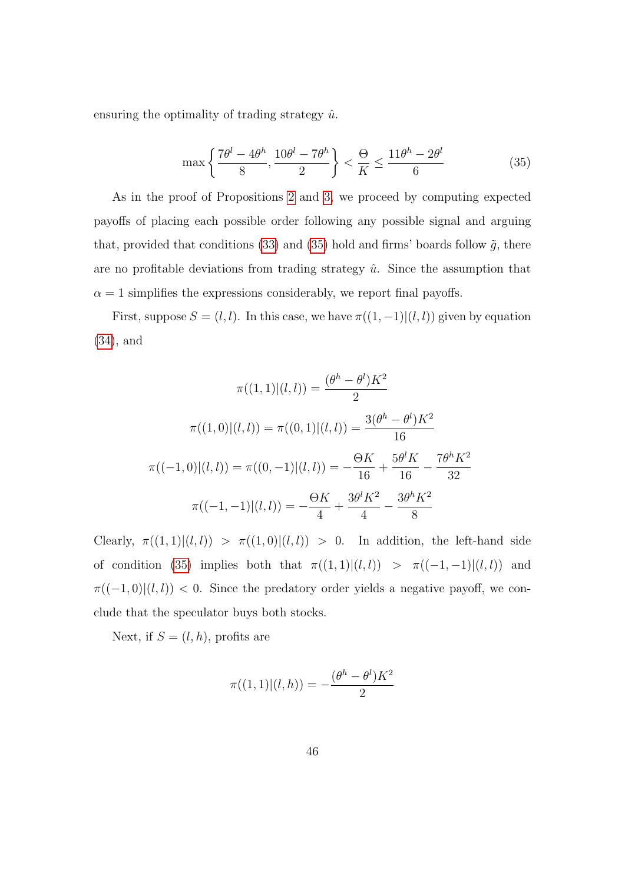ensuring the optimality of trading strategy  $\hat{u}$ .

<span id="page-46-0"></span>
$$
\max\left\{\frac{7\theta^l - 4\theta^h}{8}, \frac{10\theta^l - 7\theta^h}{2}\right\} < \frac{\Theta}{K} \le \frac{11\theta^h - 2\theta^l}{6} \tag{35}
$$

As in the proof of Propositions [2](#page-18-2) and [3,](#page-24-3) we proceed by computing expected payoffs of placing each possible order following any possible signal and arguing that, provided that conditions [\(33\)](#page-44-0) and [\(35\)](#page-46-0) hold and firms' boards follow  $\tilde{g}$ , there are no profitable deviations from trading strategy  $\hat{u}$ . Since the assumption that  $\alpha = 1$  simplifies the expressions considerably, we report final payoffs.

First, suppose  $S = (l, l)$ . In this case, we have  $\pi((1, -1)|(l, l))$  given by equation [\(34\)](#page-45-0), and

$$
\pi((1,1)|(l,l)) = \frac{(\theta^h - \theta^l)K^2}{2}
$$

$$
\pi((1,0)|(l,l)) = \pi((0,1)|(l,l)) = \frac{3(\theta^h - \theta^l)K^2}{16}
$$

$$
\pi((-1,0)|(l,l)) = \pi((0,-1)|(l,l)) = -\frac{\Theta K}{16} + \frac{5\theta^l K}{16} - \frac{7\theta^h K^2}{32}
$$

$$
\pi((-1,-1)|(l,l)) = -\frac{\Theta K}{4} + \frac{3\theta^l K^2}{4} - \frac{3\theta^h K^2}{8}
$$

Clearly,  $\pi((1,1)|(l, l)) > \pi((1,0)|(l, l)) > 0$ . In addition, the left-hand side of condition [\(35\)](#page-46-0) implies both that  $\pi((1,1)|(l,l)) > \pi((-1,-1)|(l,l))$  and  $\pi((-1,0)|(l,l)) < 0$ . Since the predatory order yields a negative payoff, we conclude that the speculator buys both stocks.

Next, if  $S = (l, h)$ , profits are

$$
\pi((1,1)|(l,h)) = -\frac{(\theta^h - \theta^l)K^2}{2}
$$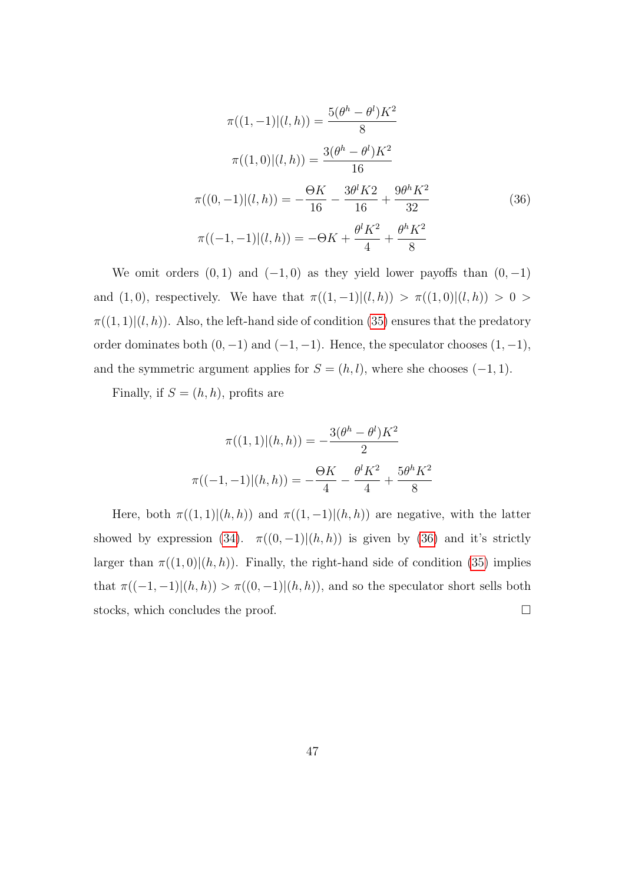<span id="page-47-0"></span>
$$
\pi((1,-1)|(l,h)) = \frac{5(\theta^h - \theta^l)K^2}{8}
$$

$$
\pi((1,0)|(l,h)) = \frac{3(\theta^h - \theta^l)K^2}{16}
$$

$$
\pi((0,-1)|(l,h)) = -\frac{\Theta K}{16} - \frac{3\theta^l K^2}{16} + \frac{9\theta^h K^2}{32}
$$
(36)
$$
\pi((-1,-1)|(l,h)) = -\Theta K + \frac{\theta^l K^2}{4} + \frac{\theta^h K^2}{8}
$$

We omit orders  $(0, 1)$  and  $(-1, 0)$  as they yield lower payoffs than  $(0, -1)$ and (1,0), respectively. We have that  $\pi((1,-1)|(l,h)) > \pi((1,0)|(l,h)) > 0 >$  $\pi((1,1)|(l, h))$ . Also, the left-hand side of condition [\(35\)](#page-46-0) ensures that the predatory order dominates both  $(0, -1)$  and  $(-1, -1)$ . Hence, the speculator chooses  $(1, -1)$ , and the symmetric argument applies for  $S = (h, l)$ , where she chooses  $(-1, 1)$ .

Finally, if  $S = (h, h)$ , profits are

$$
\pi((1,1)|(h,h)) = -\frac{3(\theta^h - \theta^l)K^2}{2}
$$

$$
\pi((-1,-1)|(h,h)) = -\frac{\Theta K}{4} - \frac{\theta^l K^2}{4} + \frac{5\theta^h K^2}{8}
$$

Here, both  $\pi((1,1)|(h,h))$  and  $\pi((1,-1)|(h,h))$  are negative, with the latter showed by expression [\(34\)](#page-45-0).  $\pi((0,-1)|(h,h))$  is given by [\(36\)](#page-47-0) and it's strictly larger than  $\pi((1,0)|(h,h))$ . Finally, the right-hand side of condition [\(35\)](#page-46-0) implies that  $\pi((-1,-1)|(h,h)) > \pi((0,-1)|(h,h)),$  and so the speculator short sells both stocks, which concludes the proof.  $□$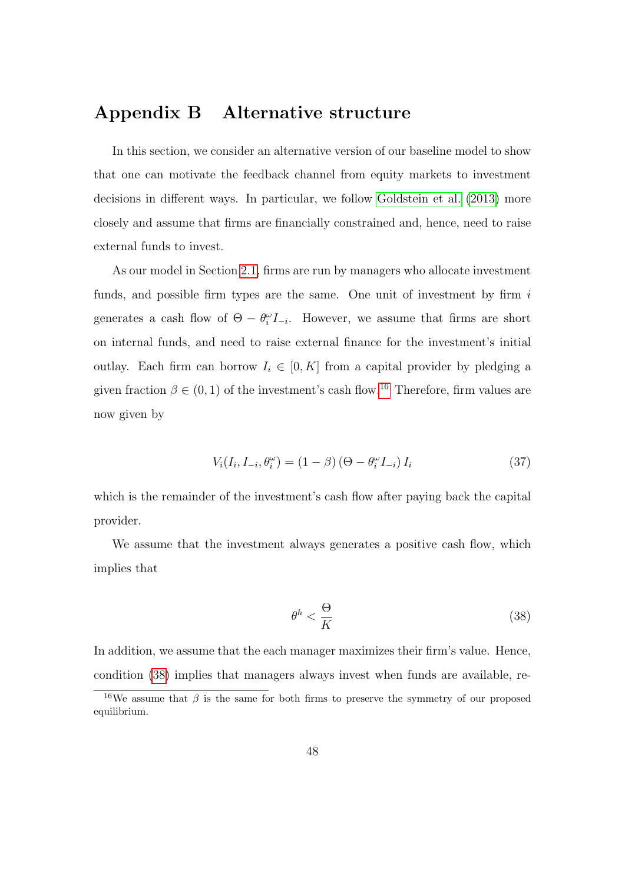# <span id="page-48-0"></span>Appendix B Alternative structure

In this section, we consider an alternative version of our baseline model to show that one can motivate the feedback channel from equity markets to investment decisions in different ways. In particular, we follow [Goldstein et al.](#page-34-1) [\(2013\)](#page-34-1) more closely and assume that firms are financially constrained and, hence, need to raise external funds to invest.

As our model in Section [2.1,](#page-7-1) firms are run by managers who allocate investment funds, and possible firm types are the same. One unit of investment by firm  $i$ generates a cash flow of  $\Theta - \theta_i^{\omega} I_{-i}$ . However, we assume that firms are short on internal funds, and need to raise external finance for the investment's initial outlay. Each firm can borrow  $I_i \in [0, K]$  from a capital provider by pledging a given fraction  $\beta \in (0,1)$  of the investment's cash flow.<sup>[16](#page-0-0)</sup> Therefore, firm values are now given by

<span id="page-48-2"></span>
$$
V_i(I_i, I_{-i}, \theta_i^{\omega}) = (1 - \beta) \left(\Theta - \theta_i^{\omega} I_{-i}\right) I_i \tag{37}
$$

which is the remainder of the investment's cash flow after paying back the capital provider.

We assume that the investment always generates a positive cash flow, which implies that

<span id="page-48-1"></span>
$$
\theta^h < \frac{\Theta}{K} \tag{38}
$$

In addition, we assume that the each manager maximizes their firm's value. Hence, condition [\(38\)](#page-48-1) implies that managers always invest when funds are available, re-

<sup>&</sup>lt;sup>16</sup>We assume that  $\beta$  is the same for both firms to preserve the symmetry of our proposed equilibrium.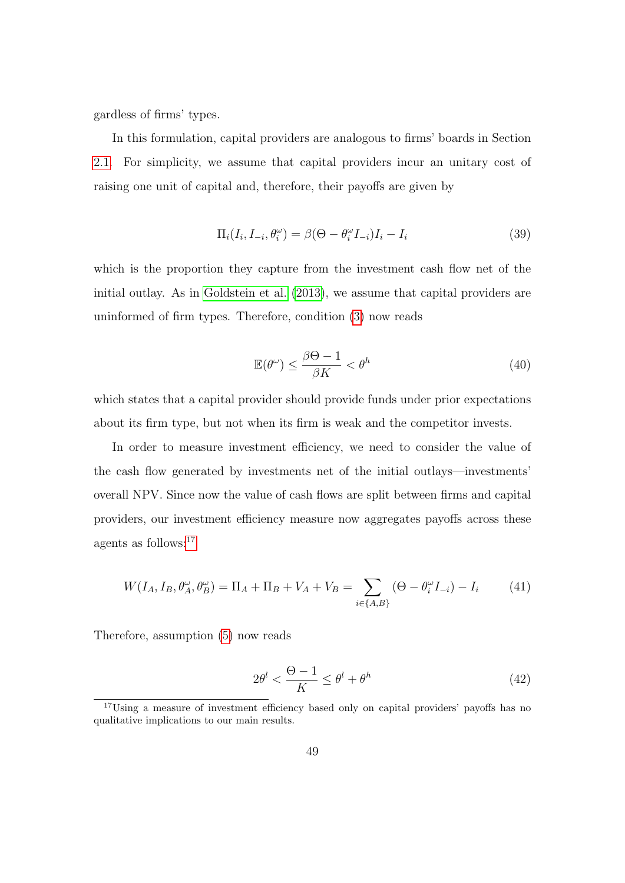gardless of firms' types.

In this formulation, capital providers are analogous to firms' boards in Section [2.1.](#page-7-1) For simplicity, we assume that capital providers incur an unitary cost of raising one unit of capital and, therefore, their payoffs are given by

$$
\Pi_i(I_i, I_{-i}, \theta_i^{\omega}) = \beta(\Theta - \theta_i^{\omega} I_{-i})I_i - I_i
$$
\n(39)

which is the proportion they capture from the investment cash flow net of the initial outlay. As in [Goldstein et al.](#page-34-1) [\(2013\)](#page-34-1), we assume that capital providers are uninformed of firm types. Therefore, condition [\(3\)](#page-8-0) now reads

<span id="page-49-0"></span>
$$
\mathbb{E}(\theta^{\omega}) \le \frac{\beta \Theta - 1}{\beta K} < \theta^h \tag{40}
$$

which states that a capital provider should provide funds under prior expectations about its firm type, but not when its firm is weak and the competitor invests.

In order to measure investment efficiency, we need to consider the value of the cash flow generated by investments net of the initial outlays—investments' overall NPV. Since now the value of cash flows are split between firms and capital providers, our investment efficiency measure now aggregates payoffs across these agents as follows:[17](#page-0-0)

$$
W(I_A, I_B, \theta_A^{\omega}, \theta_B^{\omega}) = \Pi_A + \Pi_B + V_A + V_B = \sum_{i \in \{A, B\}} (\Theta - \theta_i^{\omega} I_{-i}) - I_i \tag{41}
$$

Therefore, assumption [\(5\)](#page-10-1) now reads

<span id="page-49-1"></span>
$$
2\theta^l < \frac{\Theta - 1}{K} \le \theta^l + \theta^h \tag{42}
$$

<sup>&</sup>lt;sup>17</sup>Using a measure of investment efficiency based only on capital providers' payoffs has no qualitative implications to our main results.